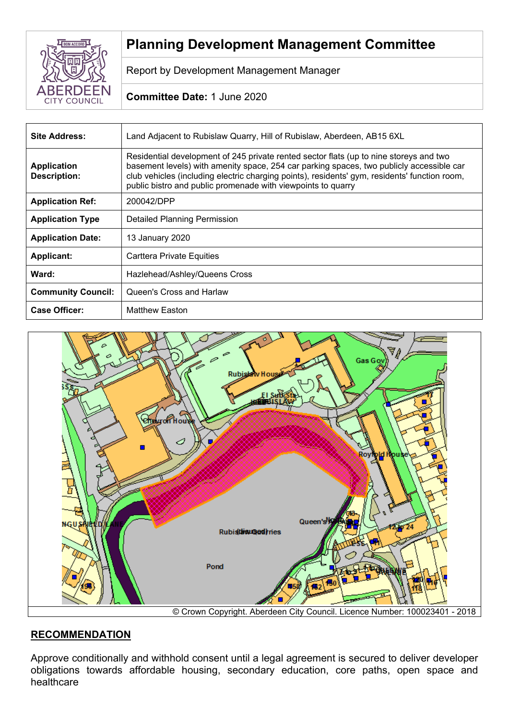

# **Planning Development Management Committee**

Report by Development Management Manager

# **Committee Date:** 1 June 2020

| <b>Site Address:</b>                      | Land Adjacent to Rubislaw Quarry, Hill of Rubislaw, Aberdeen, AB15 6XL                                                                                                                                                                                                                                                                              |
|-------------------------------------------|-----------------------------------------------------------------------------------------------------------------------------------------------------------------------------------------------------------------------------------------------------------------------------------------------------------------------------------------------------|
| <b>Application</b><br><b>Description:</b> | Residential development of 245 private rented sector flats (up to nine storeys and two<br>basement levels) with amenity space, 254 car parking spaces, two publicly accessible car<br>club vehicles (including electric charging points), residents' gym, residents' function room,<br>public bistro and public promenade with viewpoints to quarry |
| <b>Application Ref:</b>                   | 200042/DPP                                                                                                                                                                                                                                                                                                                                          |
| <b>Application Type</b>                   | Detailed Planning Permission                                                                                                                                                                                                                                                                                                                        |
| <b>Application Date:</b>                  | 13 January 2020                                                                                                                                                                                                                                                                                                                                     |
| <b>Applicant:</b>                         | Carttera Private Equities                                                                                                                                                                                                                                                                                                                           |
| Ward:                                     | Hazlehead/Ashley/Queens Cross                                                                                                                                                                                                                                                                                                                       |
| <b>Community Council:</b>                 | Queen's Cross and Harlaw                                                                                                                                                                                                                                                                                                                            |
| <b>Case Officer:</b>                      | <b>Matthew Easton</b>                                                                                                                                                                                                                                                                                                                               |



# **RECOMMENDATION**

Approve conditionally and withhold consent until a legal agreement is secured to deliver developer obligations towards affordable housing, secondary education, core paths, open space and healthcare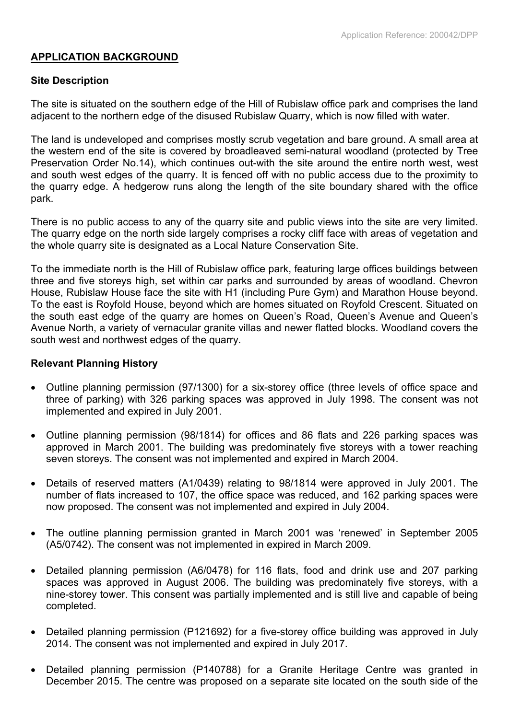# **APPLICATION BACKGROUND**

# **Site Description**

The site is situated on the southern edge of the Hill of Rubislaw office park and comprises the land adjacent to the northern edge of the disused Rubislaw Quarry, which is now filled with water.

The land is undeveloped and comprises mostly scrub vegetation and bare ground. A small area at the western end of the site is covered by broadleaved semi-natural woodland (protected by Tree Preservation Order No.14), which continues out-with the site around the entire north west, west and south west edges of the quarry. It is fenced off with no public access due to the proximity to the quarry edge. A hedgerow runs along the length of the site boundary shared with the office park.

There is no public access to any of the quarry site and public views into the site are very limited. The quarry edge on the north side largely comprises a rocky cliff face with areas of vegetation and the whole quarry site is designated as a Local Nature Conservation Site.

To the immediate north is the Hill of Rubislaw office park, featuring large offices buildings between three and five storeys high, set within car parks and surrounded by areas of woodland. Chevron House, Rubislaw House face the site with H1 (including Pure Gym) and Marathon House beyond. To the east is Royfold House, beyond which are homes situated on Royfold Crescent. Situated on the south east edge of the quarry are homes on Queen's Road, Queen's Avenue and Queen's Avenue North, a variety of vernacular granite villas and newer flatted blocks. Woodland covers the south west and northwest edges of the quarry.

## **Relevant Planning History**

- Outline planning permission (97/1300) for a six-storey office (three levels of office space and three of parking) with 326 parking spaces was approved in July 1998. The consent was not implemented and expired in July 2001.
- Outline planning permission (98/1814) for offices and 86 flats and 226 parking spaces was approved in March 2001. The building was predominately five storeys with a tower reaching seven storeys. The consent was not implemented and expired in March 2004.
- Details of reserved matters (A1/0439) relating to 98/1814 were approved in July 2001. The number of flats increased to 107, the office space was reduced, and 162 parking spaces were now proposed. The consent was not implemented and expired in July 2004.
- The outline planning permission granted in March 2001 was 'renewed' in September 2005 (A5/0742). The consent was not implemented in expired in March 2009.
- Detailed planning permission (A6/0478) for 116 flats, food and drink use and 207 parking spaces was approved in August 2006. The building was predominately five storeys, with a nine-storey tower. This consent was partially implemented and is still live and capable of being completed.
- Detailed planning permission (P121692) for a five-storey office building was approved in July 2014. The consent was not implemented and expired in July 2017.
- Detailed planning permission (P140788) for a Granite Heritage Centre was granted in December 2015. The centre was proposed on a separate site located on the south side of the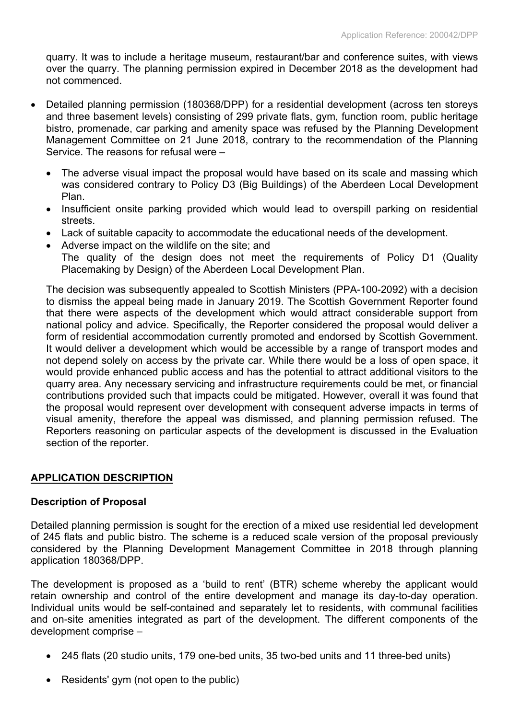quarry. It was to include a heritage museum, restaurant/bar and conference suites, with views over the quarry. The planning permission expired in December 2018 as the development had not commenced.

- Detailed planning permission (180368/DPP) for a residential development (across ten storeys and three basement levels) consisting of 299 private flats, gym, function room, public heritage bistro, promenade, car parking and amenity space was refused by the Planning Development Management Committee on 21 June 2018, contrary to the recommendation of the Planning Service. The reasons for refusal were –
	- The adverse visual impact the proposal would have based on its scale and massing which was considered contrary to Policy D3 (Big Buildings) of the Aberdeen Local Development Plan.
	- Insufficient onsite parking provided which would lead to overspill parking on residential streets.
	- Lack of suitable capacity to accommodate the educational needs of the development.
	- Adverse impact on the wildlife on the site; and The quality of the design does not meet the requirements of Policy D1 (Quality Placemaking by Design) of the Aberdeen Local Development Plan.

The decision was subsequently appealed to Scottish Ministers (PPA-100-2092) with a decision to dismiss the appeal being made in January 2019. The Scottish Government Reporter found that there were aspects of the development which would attract considerable support from national policy and advice. Specifically, the Reporter considered the proposal would deliver a form of residential accommodation currently promoted and endorsed by Scottish Government. It would deliver a development which would be accessible by a range of transport modes and not depend solely on access by the private car. While there would be a loss of open space, it would provide enhanced public access and has the potential to attract additional visitors to the quarry area. Any necessary servicing and infrastructure requirements could be met, or financial contributions provided such that impacts could be mitigated. However, overall it was found that the proposal would represent over development with consequent adverse impacts in terms of visual amenity, therefore the appeal was dismissed, and planning permission refused. The Reporters reasoning on particular aspects of the development is discussed in the Evaluation section of the reporter.

## **APPLICATION DESCRIPTION**

## **Description of Proposal**

Detailed planning permission is sought for the erection of a mixed use residential led development of 245 flats and public bistro. The scheme is a reduced scale version of the proposal previously considered by the Planning Development Management Committee in 2018 through planning application 180368/DPP.

The development is proposed as a 'build to rent' (BTR) scheme whereby the applicant would retain ownership and control of the entire development and manage its day-to-day operation. Individual units would be self-contained and separately let to residents, with communal facilities and on-site amenities integrated as part of the development. The different components of the development comprise –

- 245 flats (20 studio units, 179 one-bed units, 35 two-bed units and 11 three-bed units)
- Residents' gym (not open to the public)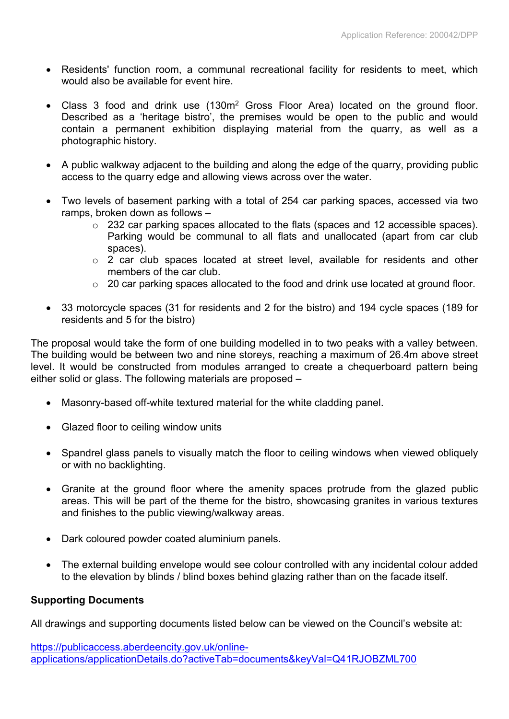- Residents' function room, a communal recreational facility for residents to meet, which would also be available for event hire.
- Class 3 food and drink use (130m<sup>2</sup> Gross Floor Area) located on the ground floor. Described as a 'heritage bistro', the premises would be open to the public and would contain a permanent exhibition displaying material from the quarry, as well as a photographic history.
- A public walkway adjacent to the building and along the edge of the quarry, providing public access to the quarry edge and allowing views across over the water.
- Two levels of basement parking with a total of 254 car parking spaces, accessed via two ramps, broken down as follows –
	- o 232 car parking spaces allocated to the flats (spaces and 12 accessible spaces). Parking would be communal to all flats and unallocated (apart from car club spaces).
	- o 2 car club spaces located at street level, available for residents and other members of the car club.
	- o 20 car parking spaces allocated to the food and drink use located at ground floor.
- 33 motorcycle spaces (31 for residents and 2 for the bistro) and 194 cycle spaces (189 for residents and 5 for the bistro)

The proposal would take the form of one building modelled in to two peaks with a valley between. The building would be between two and nine storeys, reaching a maximum of 26.4m above street level. It would be constructed from modules arranged to create a chequerboard pattern being either solid or glass. The following materials are proposed –

- Masonry-based off-white textured material for the white cladding panel.
- Glazed floor to ceiling window units
- Spandrel glass panels to visually match the floor to ceiling windows when viewed obliquely or with no backlighting.
- Granite at the ground floor where the amenity spaces protrude from the glazed public areas. This will be part of the theme for the bistro, showcasing granites in various textures and finishes to the public viewing/walkway areas.
- Dark coloured powder coated aluminium panels.
- The external building envelope would see colour controlled with any incidental colour added to the elevation by blinds / blind boxes behind glazing rather than on the facade itself.

## **Supporting Documents**

All drawings and supporting documents listed below can be viewed on the Council's website at:

[https://publicaccess.aberdeencity.gov.uk/online](https://publicaccess.aberdeencity.gov.uk/online-applications/applicationDetails.do?activeTab=documents&keyVal=Q41RJOBZML700)[applications/applicationDetails.do?activeTab=documents&keyVal=Q41RJOBZML700](https://publicaccess.aberdeencity.gov.uk/online-applications/applicationDetails.do?activeTab=documents&keyVal=Q41RJOBZML700)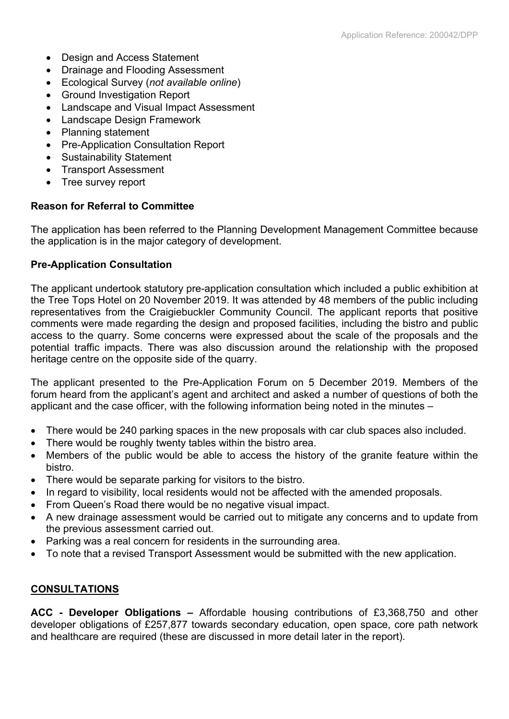- Design and Access Statement
- Drainage and Flooding Assessment
- Ecological Survey (*not available online*)
- Ground Investigation Report
- Landscape and Visual Impact Assessment
- Landscape Design Framework
- Planning statement
- Pre-Application Consultation Report
- Sustainability Statement
- Transport Assessment
- Tree survey report

#### **Reason for Referral to Committee**

The application has been referred to the Planning Development Management Committee because the application is in the major category of development.

#### **Pre-Application Consultation**

The applicant undertook statutory pre-application consultation which included a public exhibition at the Tree Tops Hotel on 20 November 2019. It was attended by 48 members of the public including representatives from the Craigiebuckler Community Council. The applicant reports that positive comments were made regarding the design and proposed facilities, including the bistro and public access to the quarry. Some concerns were expressed about the scale of the proposals and the potential traffic impacts. There was also discussion around the relationship with the proposed heritage centre on the opposite side of the quarry.

The applicant presented to the Pre-Application Forum on 5 December 2019. Members of the forum heard from the applicant's agent and architect and asked a number of questions of both the applicant and the case officer, with the following information being noted in the minutes –

- There would be 240 parking spaces in the new proposals with car club spaces also included.
- There would be roughly twenty tables within the bistro area.
- Members of the public would be able to access the history of the granite feature within the bistro.
- There would be separate parking for visitors to the bistro.
- In regard to visibility, local residents would not be affected with the amended proposals.
- From Queen's Road there would be no negative visual impact.
- A new drainage assessment would be carried out to mitigate any concerns and to update from the previous assessment carried out.
- Parking was a real concern for residents in the surrounding area.
- To note that a revised Transport Assessment would be submitted with the new application.

## **CONSULTATIONS**

**ACC - Developer Obligations –** Affordable housing contributions of £3,368,750 and other developer obligations of £257,877 towards secondary education, open space, core path network and healthcare are required (these are discussed in more detail later in the report).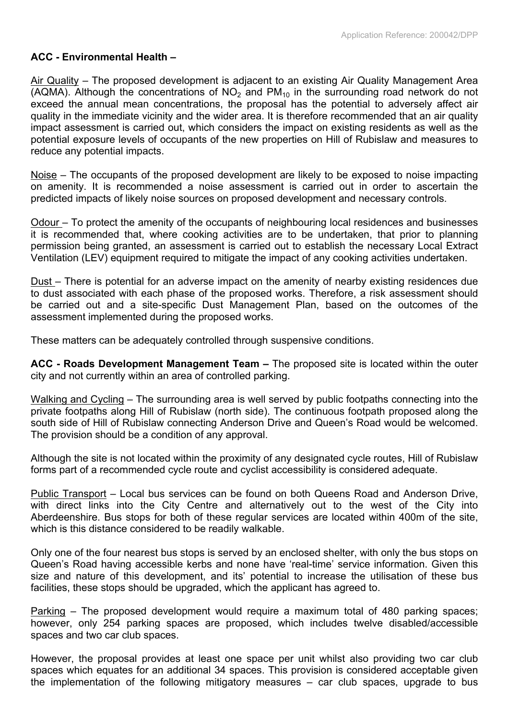#### **ACC - Environmental Health –**

Air Quality – The proposed development is adjacent to an existing Air Quality Management Area (AQMA). Although the concentrations of  $NO<sub>2</sub>$  and PM<sub>10</sub> in the surrounding road network do not exceed the annual mean concentrations, the proposal has the potential to adversely affect air quality in the immediate vicinity and the wider area. It is therefore recommended that an air quality impact assessment is carried out, which considers the impact on existing residents as well as the potential exposure levels of occupants of the new properties on Hill of Rubislaw and measures to reduce any potential impacts.

Noise – The occupants of the proposed development are likely to be exposed to noise impacting on amenity. It is recommended a noise assessment is carried out in order to ascertain the predicted impacts of likely noise sources on proposed development and necessary controls.

Odour – To protect the amenity of the occupants of neighbouring local residences and businesses it is recommended that, where cooking activities are to be undertaken, that prior to planning permission being granted, an assessment is carried out to establish the necessary Local Extract Ventilation (LEV) equipment required to mitigate the impact of any cooking activities undertaken.

Dust – There is potential for an adverse impact on the amenity of nearby existing residences due to dust associated with each phase of the proposed works. Therefore, a risk assessment should be carried out and a site-specific Dust Management Plan, based on the outcomes of the assessment implemented during the proposed works.

These matters can be adequately controlled through suspensive conditions.

**ACC - Roads Development Management Team –** The proposed site is located within the outer city and not currently within an area of controlled parking.

Walking and Cycling – The surrounding area is well served by public footpaths connecting into the private footpaths along Hill of Rubislaw (north side). The continuous footpath proposed along the south side of Hill of Rubislaw connecting Anderson Drive and Queen's Road would be welcomed. The provision should be a condition of any approval.

Although the site is not located within the proximity of any designated cycle routes, Hill of Rubislaw forms part of a recommended cycle route and cyclist accessibility is considered adequate.

Public Transport – Local bus services can be found on both Queens Road and Anderson Drive, with direct links into the City Centre and alternatively out to the west of the City into Aberdeenshire. Bus stops for both of these regular services are located within 400m of the site, which is this distance considered to be readily walkable.

Only one of the four nearest bus stops is served by an enclosed shelter, with only the bus stops on Queen's Road having accessible kerbs and none have 'real-time' service information. Given this size and nature of this development, and its' potential to increase the utilisation of these bus facilities, these stops should be upgraded, which the applicant has agreed to.

Parking – The proposed development would require a maximum total of 480 parking spaces; however, only 254 parking spaces are proposed, which includes twelve disabled/accessible spaces and two car club spaces.

However, the proposal provides at least one space per unit whilst also providing two car club spaces which equates for an additional 34 spaces. This provision is considered acceptable given the implementation of the following mitigatory measures – car club spaces, upgrade to bus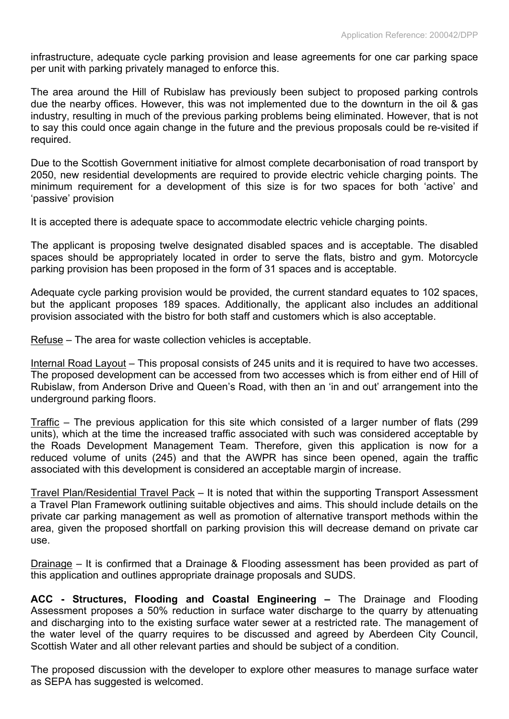infrastructure, adequate cycle parking provision and lease agreements for one car parking space per unit with parking privately managed to enforce this.

The area around the Hill of Rubislaw has previously been subject to proposed parking controls due the nearby offices. However, this was not implemented due to the downturn in the oil & gas industry, resulting in much of the previous parking problems being eliminated. However, that is not to say this could once again change in the future and the previous proposals could be re-visited if required.

Due to the Scottish Government initiative for almost complete decarbonisation of road transport by 2050, new residential developments are required to provide electric vehicle charging points. The minimum requirement for a development of this size is for two spaces for both 'active' and 'passive' provision

It is accepted there is adequate space to accommodate electric vehicle charging points.

The applicant is proposing twelve designated disabled spaces and is acceptable. The disabled spaces should be appropriately located in order to serve the flats, bistro and gym. Motorcycle parking provision has been proposed in the form of 31 spaces and is acceptable.

Adequate cycle parking provision would be provided, the current standard equates to 102 spaces, but the applicant proposes 189 spaces. Additionally, the applicant also includes an additional provision associated with the bistro for both staff and customers which is also acceptable.

Refuse – The area for waste collection vehicles is acceptable.

Internal Road Layout – This proposal consists of 245 units and it is required to have two accesses. The proposed development can be accessed from two accesses which is from either end of Hill of Rubislaw, from Anderson Drive and Queen's Road, with then an 'in and out' arrangement into the underground parking floors.

Traffic – The previous application for this site which consisted of a larger number of flats (299 units), which at the time the increased traffic associated with such was considered acceptable by the Roads Development Management Team. Therefore, given this application is now for a reduced volume of units (245) and that the AWPR has since been opened, again the traffic associated with this development is considered an acceptable margin of increase.

Travel Plan/Residential Travel Pack – It is noted that within the supporting Transport Assessment a Travel Plan Framework outlining suitable objectives and aims. This should include details on the private car parking management as well as promotion of alternative transport methods within the area, given the proposed shortfall on parking provision this will decrease demand on private car use.

Drainage – It is confirmed that a Drainage & Flooding assessment has been provided as part of this application and outlines appropriate drainage proposals and SUDS.

**ACC - Structures, Flooding and Coastal Engineering –** The Drainage and Flooding Assessment proposes a 50% reduction in surface water discharge to the quarry by attenuating and discharging into to the existing surface water sewer at a restricted rate. The management of the water level of the quarry requires to be discussed and agreed by Aberdeen City Council, Scottish Water and all other relevant parties and should be subject of a condition.

The proposed discussion with the developer to explore other measures to manage surface water as SEPA has suggested is welcomed.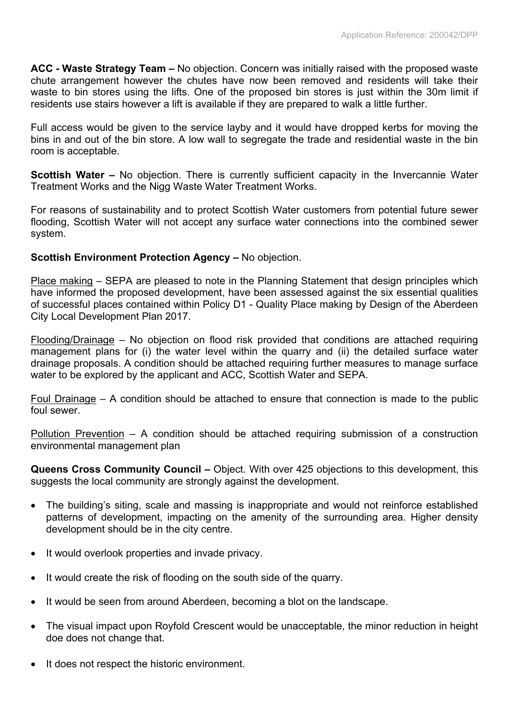**ACC - Waste Strategy Team –** No objection. Concern was initially raised with the proposed waste chute arrangement however the chutes have now been removed and residents will take their waste to bin stores using the lifts. One of the proposed bin stores is just within the 30m limit if residents use stairs however a lift is available if they are prepared to walk a little further.

Full access would be given to the service layby and it would have dropped kerbs for moving the bins in and out of the bin store. A low wall to segregate the trade and residential waste in the bin room is acceptable.

**Scottish Water** – No objection. There is currently sufficient capacity in the Invercannie Water Treatment Works and the Nigg Waste Water Treatment Works.

For reasons of sustainability and to protect Scottish Water customers from potential future sewer flooding, Scottish Water will not accept any surface water connections into the combined sewer system.

## **Scottish Environment Protection Agency –** No objection.

Place making – SEPA are pleased to note in the Planning Statement that design principles which have informed the proposed development, have been assessed against the six essential qualities of successful places contained within Policy D1 - Quality Place making by Design of the Aberdeen City Local Development Plan 2017.

Flooding/Drainage – No objection on flood risk provided that conditions are attached requiring management plans for (i) the water level within the quarry and (ii) the detailed surface water drainage proposals. A condition should be attached requiring further measures to manage surface water to be explored by the applicant and ACC, Scottish Water and SEPA.

Foul Drainage – A condition should be attached to ensure that connection is made to the public foul sewer.

Pollution Prevention – A condition should be attached requiring submission of a construction environmental management plan

**Queens Cross Community Council –** Object. With over 425 objections to this development, this suggests the local community are strongly against the development.

- The building's siting, scale and massing is inappropriate and would not reinforce established patterns of development, impacting on the amenity of the surrounding area. Higher density development should be in the city centre.
- It would overlook properties and invade privacy.
- It would create the risk of flooding on the south side of the quarry.
- It would be seen from around Aberdeen, becoming a blot on the landscape.
- The visual impact upon Royfold Crescent would be unacceptable, the minor reduction in height doe does not change that.
- It does not respect the historic environment.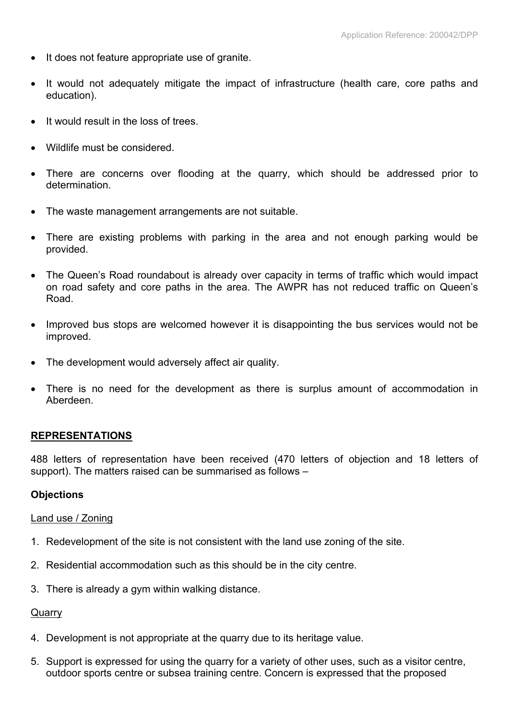- It does not feature appropriate use of granite.
- It would not adequately mitigate the impact of infrastructure (health care, core paths and education).
- It would result in the loss of trees.
- Wildlife must be considered.
- There are concerns over flooding at the quarry, which should be addressed prior to determination.
- The waste management arrangements are not suitable.
- There are existing problems with parking in the area and not enough parking would be provided.
- The Queen's Road roundabout is already over capacity in terms of traffic which would impact on road safety and core paths in the area. The AWPR has not reduced traffic on Queen's Road.
- Improved bus stops are welcomed however it is disappointing the bus services would not be improved.
- The development would adversely affect air quality.
- There is no need for the development as there is surplus amount of accommodation in Aberdeen.

## **REPRESENTATIONS**

488 letters of representation have been received (470 letters of objection and 18 letters of support). The matters raised can be summarised as follows –

#### **Objections**

#### Land use / Zoning

- 1. Redevelopment of the site is not consistent with the land use zoning of the site.
- 2. Residential accommodation such as this should be in the city centre.
- 3. There is already a gym within walking distance.

#### **Quarry**

- 4. Development is not appropriate at the quarry due to its heritage value.
- 5. Support is expressed for using the quarry for a variety of other uses, such as a visitor centre, outdoor sports centre or subsea training centre. Concern is expressed that the proposed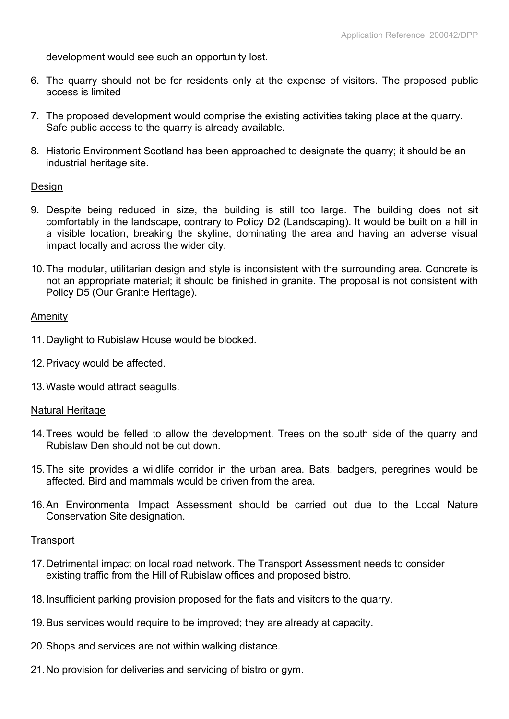development would see such an opportunity lost.

- 6. The quarry should not be for residents only at the expense of visitors. The proposed public access is limited
- 7. The proposed development would comprise the existing activities taking place at the quarry. Safe public access to the quarry is already available.
- 8. Historic Environment Scotland has been approached to designate the quarry; it should be an industrial heritage site.

#### Design

- 9. Despite being reduced in size, the building is still too large. The building does not sit comfortably in the landscape, contrary to Policy D2 (Landscaping). It would be built on a hill in a visible location, breaking the skyline, dominating the area and having an adverse visual impact locally and across the wider city.
- 10.The modular, utilitarian design and style is inconsistent with the surrounding area. Concrete is not an appropriate material; it should be finished in granite. The proposal is not consistent with Policy D5 (Our Granite Heritage).

#### Amenity

- 11.Daylight to Rubislaw House would be blocked.
- 12.Privacy would be affected.
- 13.Waste would attract seagulls.

#### Natural Heritage

- 14.Trees would be felled to allow the development. Trees on the south side of the quarry and Rubislaw Den should not be cut down.
- 15.The site provides a wildlife corridor in the urban area. Bats, badgers, peregrines would be affected. Bird and mammals would be driven from the area.
- 16.An Environmental Impact Assessment should be carried out due to the Local Nature Conservation Site designation.

#### **Transport**

- 17.Detrimental impact on local road network. The Transport Assessment needs to consider existing traffic from the Hill of Rubislaw offices and proposed bistro.
- 18.Insufficient parking provision proposed for the flats and visitors to the quarry.
- 19.Bus services would require to be improved; they are already at capacity.
- 20.Shops and services are not within walking distance.
- 21.No provision for deliveries and servicing of bistro or gym.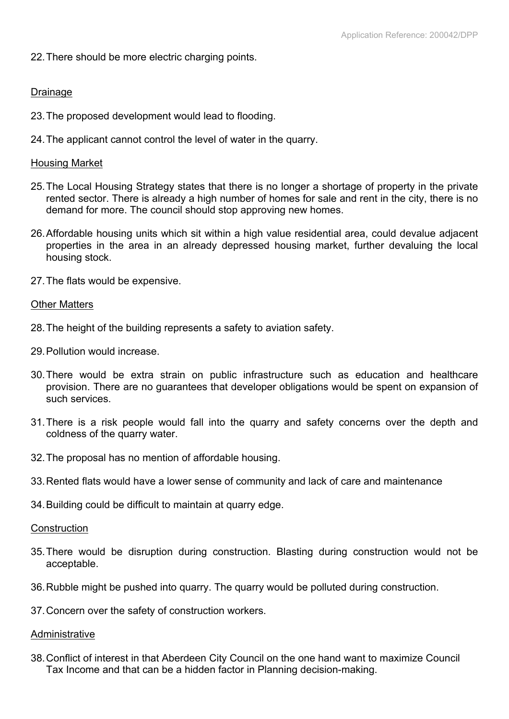22.There should be more electric charging points.

## Drainage

- 23.The proposed development would lead to flooding.
- 24.The applicant cannot control the level of water in the quarry.

#### Housing Market

- 25.The Local Housing Strategy states that there is no longer a shortage of property in the private rented sector. There is already a high number of homes for sale and rent in the city, there is no demand for more. The council should stop approving new homes.
- 26.Affordable housing units which sit within a high value residential area, could devalue adjacent properties in the area in an already depressed housing market, further devaluing the local housing stock.
- 27.The flats would be expensive.

#### Other Matters

- 28.The height of the building represents a safety to aviation safety.
- 29.Pollution would increase.
- 30.There would be extra strain on public infrastructure such as education and healthcare provision. There are no guarantees that developer obligations would be spent on expansion of such services.
- 31.There is a risk people would fall into the quarry and safety concerns over the depth and coldness of the quarry water.
- 32.The proposal has no mention of affordable housing.
- 33.Rented flats would have a lower sense of community and lack of care and maintenance
- 34.Building could be difficult to maintain at quarry edge.

#### **Construction**

- 35.There would be disruption during construction. Blasting during construction would not be acceptable.
- 36.Rubble might be pushed into quarry. The quarry would be polluted during construction.
- 37.Concern over the safety of construction workers.

#### Administrative

38.Conflict of interest in that Aberdeen City Council on the one hand want to maximize Council Tax Income and that can be a hidden factor in Planning decision-making.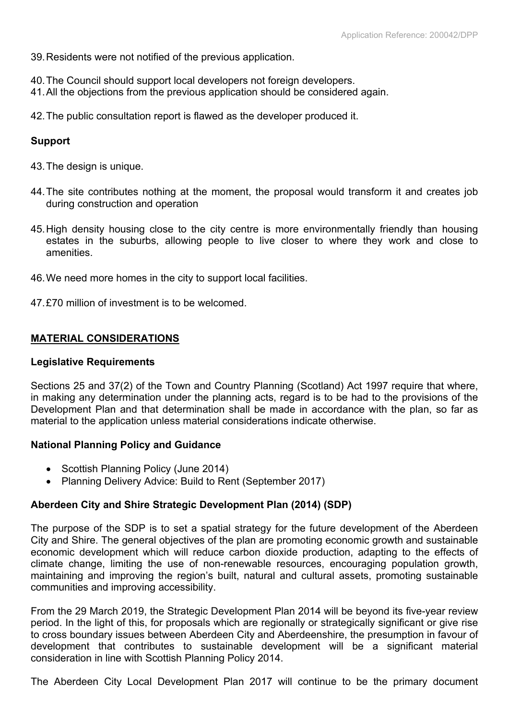39.Residents were not notified of the previous application.

- 40.The Council should support local developers not foreign developers.
- 41.All the objections from the previous application should be considered again.
- 42.The public consultation report is flawed as the developer produced it.

## **Support**

- 43.The design is unique.
- 44.The site contributes nothing at the moment, the proposal would transform it and creates job during construction and operation
- 45.High density housing close to the city centre is more environmentally friendly than housing estates in the suburbs, allowing people to live closer to where they work and close to amenities.
- 46.We need more homes in the city to support local facilities.
- 47.£70 million of investment is to be welcomed.

## **MATERIAL CONSIDERATIONS**

#### **Legislative Requirements**

Sections 25 and 37(2) of the Town and Country Planning (Scotland) Act 1997 require that where, in making any determination under the planning acts, regard is to be had to the provisions of the Development Plan and that determination shall be made in accordance with the plan, so far as material to the application unless material considerations indicate otherwise.

#### **National Planning Policy and Guidance**

- Scottish Planning Policy (June 2014)
- Planning Delivery Advice: Build to Rent (September 2017)

## **Aberdeen City and Shire Strategic Development Plan (2014) (SDP)**

The purpose of the SDP is to set a spatial strategy for the future development of the Aberdeen City and Shire. The general objectives of the plan are promoting economic growth and sustainable economic development which will reduce carbon dioxide production, adapting to the effects of climate change, limiting the use of non-renewable resources, encouraging population growth, maintaining and improving the region's built, natural and cultural assets, promoting sustainable communities and improving accessibility.

From the 29 March 2019, the Strategic Development Plan 2014 will be beyond its five-year review period. In the light of this, for proposals which are regionally or strategically significant or give rise to cross boundary issues between Aberdeen City and Aberdeenshire, the presumption in favour of development that contributes to sustainable development will be a significant material consideration in line with Scottish Planning Policy 2014.

The Aberdeen City Local Development Plan 2017 will continue to be the primary document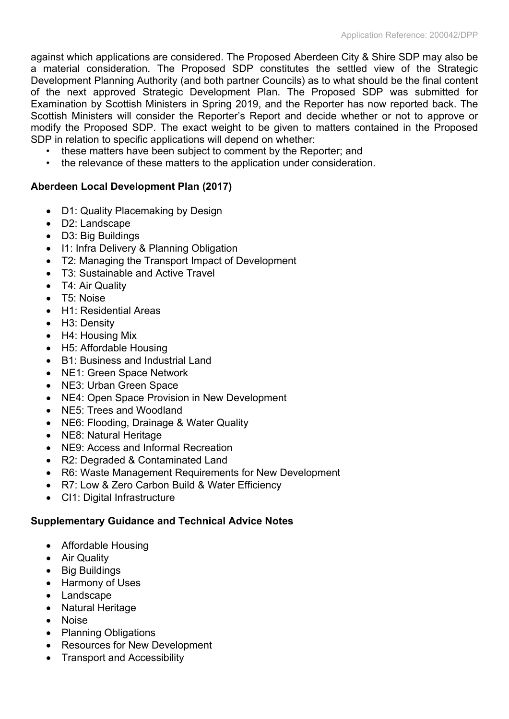against which applications are considered. The Proposed Aberdeen City & Shire SDP may also be a material consideration. The Proposed SDP constitutes the settled view of the Strategic Development Planning Authority (and both partner Councils) as to what should be the final content of the next approved Strategic Development Plan. The Proposed SDP was submitted for Examination by Scottish Ministers in Spring 2019, and the Reporter has now reported back. The Scottish Ministers will consider the Reporter's Report and decide whether or not to approve or modify the Proposed SDP. The exact weight to be given to matters contained in the Proposed SDP in relation to specific applications will depend on whether:

- these matters have been subject to comment by the Reporter; and
- the relevance of these matters to the application under consideration.

# **Aberdeen Local Development Plan (2017)**

- D1: Quality Placemaking by Design
- D2: Landscape
- D3: Big Buildings
- I1: Infra Delivery & Planning Obligation
- T2: Managing the Transport Impact of Development
- T3: Sustainable and Active Travel
- T4: Air Quality
- T5: Noise
- H1: Residential Areas
- H3: Density
- H4: Housing Mix
- H5: Affordable Housing
- B1: Business and Industrial Land
- NE1: Green Space Network
- NE3: Urban Green Space
- NE4: Open Space Provision in New Development
- NE5: Trees and Woodland
- NE6: Flooding, Drainage & Water Quality
- NE8: Natural Heritage
- NE9: Access and Informal Recreation
- R2: Degraded & Contaminated Land
- R6: Waste Management Requirements for New Development
- R7: Low & Zero Carbon Build & Water Efficiency
- CI1: Digital Infrastructure

# **Supplementary Guidance and Technical Advice Notes**

- Affordable Housing
- Air Quality
- Big [Buildings](https://www.aberdeencity.gov.uk/media/501)
- Harmony of Uses
- Landscape
- Natural Heritage
- Noise
- Planning Obligations
- Resources for New Development
- Transport and Accessibility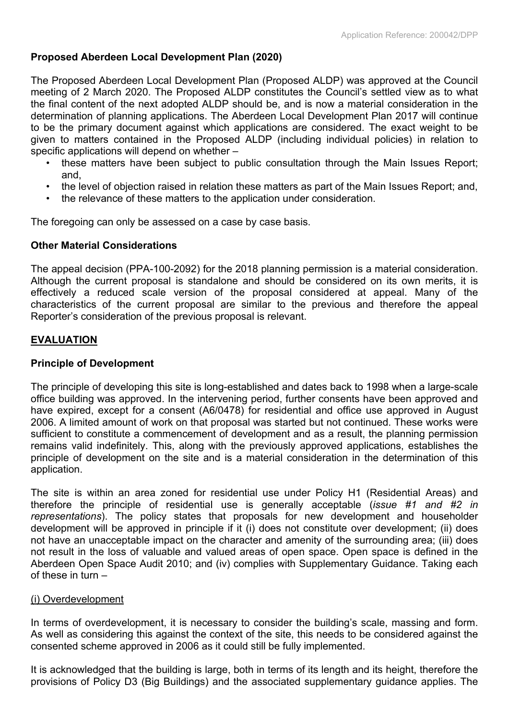# **Proposed Aberdeen Local Development Plan (2020)**

The Proposed Aberdeen Local Development Plan (Proposed ALDP) was approved at the Council meeting of 2 March 2020. The Proposed ALDP constitutes the Council's settled view as to what the final content of the next adopted ALDP should be, and is now a material consideration in the determination of planning applications. The Aberdeen Local Development Plan 2017 will continue to be the primary document against which applications are considered. The exact weight to be given to matters contained in the Proposed ALDP (including individual policies) in relation to specific applications will depend on whether –

- these matters have been subject to public consultation through the Main Issues Report; and,
- the level of objection raised in relation these matters as part of the Main Issues Report; and,
- the relevance of these matters to the application under consideration.

The foregoing can only be assessed on a case by case basis.

# **Other Material Considerations**

The appeal decision (PPA-100-2092) for the 2018 planning permission is a material consideration. Although the current proposal is standalone and should be considered on its own merits, it is effectively a reduced scale version of the proposal considered at appeal. Many of the characteristics of the current proposal are similar to the previous and therefore the appeal Reporter's consideration of the previous proposal is relevant.

# **EVALUATION**

# **Principle of Development**

The principle of developing this site is long-established and dates back to 1998 when a large-scale office building was approved. In the intervening period, further consents have been approved and have expired, except for a consent (A6/0478) for residential and office use approved in August 2006. A limited amount of work on that proposal was started but not continued. These works were sufficient to constitute a commencement of development and as a result, the planning permission remains valid indefinitely. This, along with the previously approved applications, establishes the principle of development on the site and is a material consideration in the determination of this application.

The site is within an area zoned for residential use under Policy H1 (Residential Areas) and therefore the principle of residential use is generally acceptable (*issue #1 and #2 in representations*). The policy states that proposals for new development and householder development will be approved in principle if it (i) does not constitute over development; (ii) does not have an unacceptable impact on the character and amenity of the surrounding area; (iii) does not result in the loss of valuable and valued areas of open space. Open space is defined in the Aberdeen Open Space Audit 2010; and (iv) complies with Supplementary Guidance. Taking each of these in turn –

## (i) Overdevelopment

In terms of overdevelopment, it is necessary to consider the building's scale, massing and form. As well as considering this against the context of the site, this needs to be considered against the consented scheme approved in 2006 as it could still be fully implemented.

It is acknowledged that the building is large, both in terms of its length and its height, therefore the provisions of Policy D3 (Big Buildings) and the associated supplementary guidance applies. The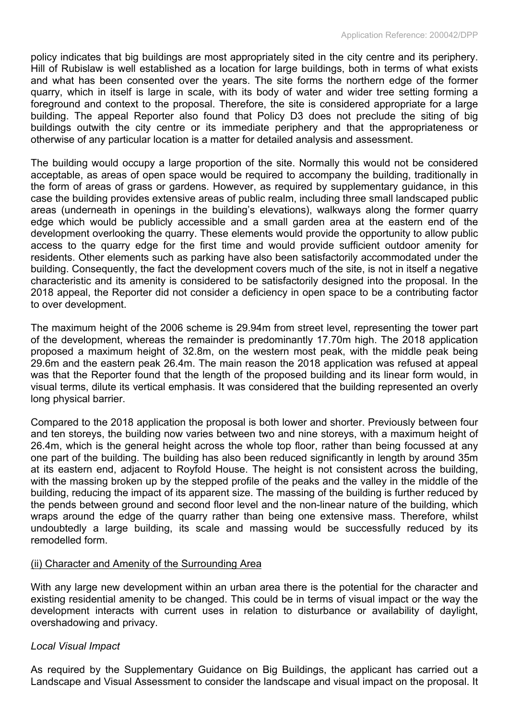policy indicates that big buildings are most appropriately sited in the city centre and its periphery. Hill of Rubislaw is well established as a location for large buildings, both in terms of what exists and what has been consented over the years. The site forms the northern edge of the former quarry, which in itself is large in scale, with its body of water and wider tree setting forming a foreground and context to the proposal. Therefore, the site is considered appropriate for a large building. The appeal Reporter also found that Policy D3 does not preclude the siting of big buildings outwith the city centre or its immediate periphery and that the appropriateness or otherwise of any particular location is a matter for detailed analysis and assessment.

The building would occupy a large proportion of the site. Normally this would not be considered acceptable, as areas of open space would be required to accompany the building, traditionally in the form of areas of grass or gardens. However, as required by supplementary guidance, in this case the building provides extensive areas of public realm, including three small landscaped public areas (underneath in openings in the building's elevations), walkways along the former quarry edge which would be publicly accessible and a small garden area at the eastern end of the development overlooking the quarry. These elements would provide the opportunity to allow public access to the quarry edge for the first time and would provide sufficient outdoor amenity for residents. Other elements such as parking have also been satisfactorily accommodated under the building. Consequently, the fact the development covers much of the site, is not in itself a negative characteristic and its amenity is considered to be satisfactorily designed into the proposal. In the 2018 appeal, the Reporter did not consider a deficiency in open space to be a contributing factor to over development.

The maximum height of the 2006 scheme is 29.94m from street level, representing the tower part of the development, whereas the remainder is predominantly 17.70m high. The 2018 application proposed a maximum height of 32.8m, on the western most peak, with the middle peak being 29.6m and the eastern peak 26.4m. The main reason the 2018 application was refused at appeal was that the Reporter found that the length of the proposed building and its linear form would, in visual terms, dilute its vertical emphasis. It was considered that the building represented an overly long physical barrier.

Compared to the 2018 application the proposal is both lower and shorter. Previously between four and ten storeys, the building now varies between two and nine storeys, with a maximum height of 26.4m, which is the general height across the whole top floor, rather than being focussed at any one part of the building. The building has also been reduced significantly in length by around 35m at its eastern end, adjacent to Royfold House. The height is not consistent across the building, with the massing broken up by the stepped profile of the peaks and the valley in the middle of the building, reducing the impact of its apparent size. The massing of the building is further reduced by the pends between ground and second floor level and the non-linear nature of the building, which wraps around the edge of the quarry rather than being one extensive mass. Therefore, whilst undoubtedly a large building, its scale and massing would be successfully reduced by its remodelled form.

## (ii) Character and Amenity of the Surrounding Area

With any large new development within an urban area there is the potential for the character and existing residential amenity to be changed. This could be in terms of visual impact or the way the development interacts with current uses in relation to disturbance or availability of daylight, overshadowing and privacy.

## *Local Visual Impact*

As required by the Supplementary Guidance on Big Buildings, the applicant has carried out a Landscape and Visual Assessment to consider the landscape and visual impact on the proposal. It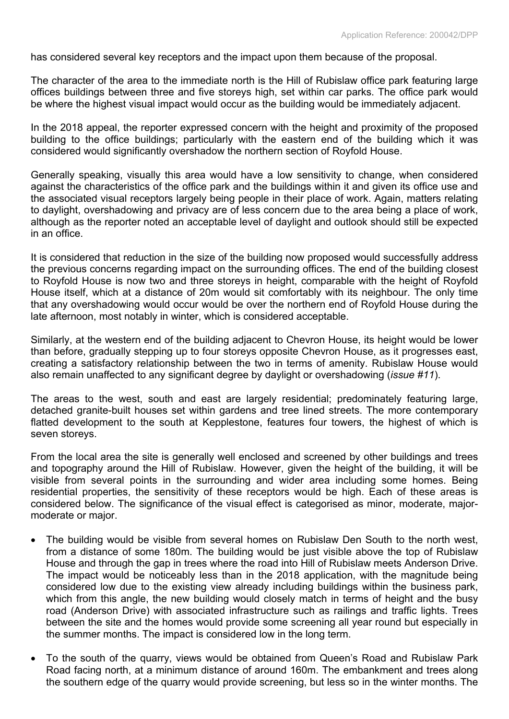has considered several key receptors and the impact upon them because of the proposal.

The character of the area to the immediate north is the Hill of Rubislaw office park featuring large offices buildings between three and five storeys high, set within car parks. The office park would be where the highest visual impact would occur as the building would be immediately adjacent.

In the 2018 appeal, the reporter expressed concern with the height and proximity of the proposed building to the office buildings; particularly with the eastern end of the building which it was considered would significantly overshadow the northern section of Royfold House.

Generally speaking, visually this area would have a low sensitivity to change, when considered against the characteristics of the office park and the buildings within it and given its office use and the associated visual receptors largely being people in their place of work. Again, matters relating to daylight, overshadowing and privacy are of less concern due to the area being a place of work, although as the reporter noted an acceptable level of daylight and outlook should still be expected in an office.

It is considered that reduction in the size of the building now proposed would successfully address the previous concerns regarding impact on the surrounding offices. The end of the building closest to Royfold House is now two and three storeys in height, comparable with the height of Royfold House itself, which at a distance of 20m would sit comfortably with its neighbour. The only time that any overshadowing would occur would be over the northern end of Royfold House during the late afternoon, most notably in winter, which is considered acceptable.

Similarly, at the western end of the building adjacent to Chevron House, its height would be lower than before, gradually stepping up to four storeys opposite Chevron House, as it progresses east, creating a satisfactory relationship between the two in terms of amenity. Rubislaw House would also remain unaffected to any significant degree by daylight or overshadowing (*issue #11*).

The areas to the west, south and east are largely residential; predominately featuring large, detached granite-built houses set within gardens and tree lined streets. The more contemporary flatted development to the south at Kepplestone, features four towers, the highest of which is seven storeys.

From the local area the site is generally well enclosed and screened by other buildings and trees and topography around the Hill of Rubislaw. However, given the height of the building, it will be visible from several points in the surrounding and wider area including some homes. Being residential properties, the sensitivity of these receptors would be high. Each of these areas is considered below. The significance of the visual effect is categorised as minor, moderate, majormoderate or major.

- The building would be visible from several homes on Rubislaw Den South to the north west, from a distance of some 180m. The building would be just visible above the top of Rubislaw House and through the gap in trees where the road into Hill of Rubislaw meets Anderson Drive. The impact would be noticeably less than in the 2018 application, with the magnitude being considered low due to the existing view already including buildings within the business park, which from this angle, the new building would closely match in terms of height and the busy road (Anderson Drive) with associated infrastructure such as railings and traffic lights. Trees between the site and the homes would provide some screening all year round but especially in the summer months. The impact is considered low in the long term.
- To the south of the quarry, views would be obtained from Queen's Road and Rubislaw Park Road facing north, at a minimum distance of around 160m. The embankment and trees along the southern edge of the quarry would provide screening, but less so in the winter months. The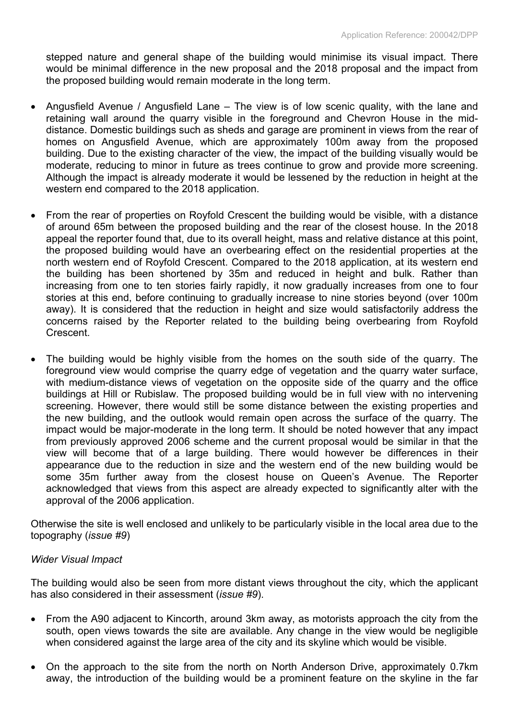stepped nature and general shape of the building would minimise its visual impact. There would be minimal difference in the new proposal and the 2018 proposal and the impact from the proposed building would remain moderate in the long term.

- Angusfield Avenue / Angusfield Lane The view is of low scenic quality, with the lane and retaining wall around the quarry visible in the foreground and Chevron House in the middistance. Domestic buildings such as sheds and garage are prominent in views from the rear of homes on Angusfield Avenue, which are approximately 100m away from the proposed building. Due to the existing character of the view, the impact of the building visually would be moderate, reducing to minor in future as trees continue to grow and provide more screening. Although the impact is already moderate it would be lessened by the reduction in height at the western end compared to the 2018 application.
- From the rear of properties on Royfold Crescent the building would be visible, with a distance of around 65m between the proposed building and the rear of the closest house. In the 2018 appeal the reporter found that, due to its overall height, mass and relative distance at this point, the proposed building would have an overbearing effect on the residential properties at the north western end of Royfold Crescent. Compared to the 2018 application, at its western end the building has been shortened by 35m and reduced in height and bulk. Rather than increasing from one to ten stories fairly rapidly, it now gradually increases from one to four stories at this end, before continuing to gradually increase to nine stories beyond (over 100m away). It is considered that the reduction in height and size would satisfactorily address the concerns raised by the Reporter related to the building being overbearing from Royfold Crescent.
- The building would be highly visible from the homes on the south side of the quarry. The foreground view would comprise the quarry edge of vegetation and the quarry water surface, with medium-distance views of vegetation on the opposite side of the quarry and the office buildings at Hill or Rubislaw. The proposed building would be in full view with no intervening screening. However, there would still be some distance between the existing properties and the new building, and the outlook would remain open across the surface of the quarry. The impact would be major-moderate in the long term. It should be noted however that any impact from previously approved 2006 scheme and the current proposal would be similar in that the view will become that of a large building. There would however be differences in their appearance due to the reduction in size and the western end of the new building would be some 35m further away from the closest house on Queen's Avenue. The Reporter acknowledged that views from this aspect are already expected to significantly alter with the approval of the 2006 application.

Otherwise the site is well enclosed and unlikely to be particularly visible in the local area due to the topography (*issue #9*)

## *Wider Visual Impact*

The building would also be seen from more distant views throughout the city, which the applicant has also considered in their assessment (*issue #9*).

- From the A90 adjacent to Kincorth, around 3km away, as motorists approach the city from the south, open views towards the site are available. Any change in the view would be negligible when considered against the large area of the city and its skyline which would be visible.
- On the approach to the site from the north on North Anderson Drive, approximately 0.7km away, the introduction of the building would be a prominent feature on the skyline in the far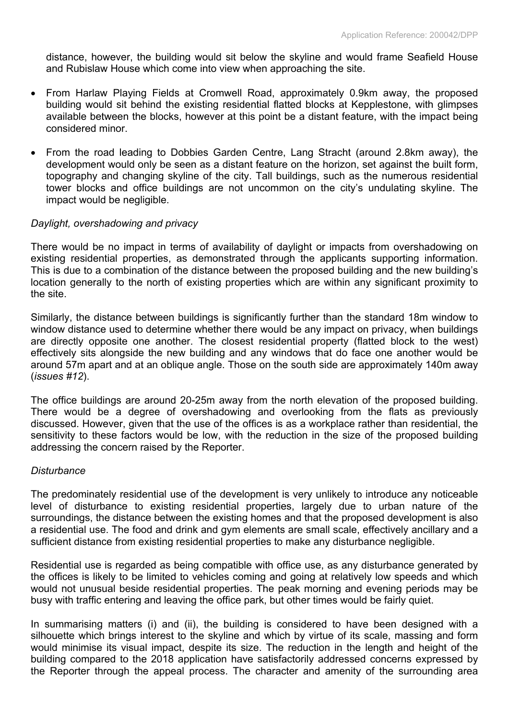distance, however, the building would sit below the skyline and would frame Seafield House and Rubislaw House which come into view when approaching the site.

- From Harlaw Playing Fields at Cromwell Road, approximately 0.9km away, the proposed building would sit behind the existing residential flatted blocks at Kepplestone, with glimpses available between the blocks, however at this point be a distant feature, with the impact being considered minor.
- From the road leading to Dobbies Garden Centre, Lang Stracht (around 2.8km away), the development would only be seen as a distant feature on the horizon, set against the built form, topography and changing skyline of the city. Tall buildings, such as the numerous residential tower blocks and office buildings are not uncommon on the city's undulating skyline. The impact would be negligible.

# *Daylight, overshadowing and privacy*

There would be no impact in terms of availability of daylight or impacts from overshadowing on existing residential properties, as demonstrated through the applicants supporting information. This is due to a combination of the distance between the proposed building and the new building's location generally to the north of existing properties which are within any significant proximity to the site.

Similarly, the distance between buildings is significantly further than the standard 18m window to window distance used to determine whether there would be any impact on privacy, when buildings are directly opposite one another. The closest residential property (flatted block to the west) effectively sits alongside the new building and any windows that do face one another would be around 57m apart and at an oblique angle. Those on the south side are approximately 140m away (*issues #12*).

The office buildings are around 20-25m away from the north elevation of the proposed building. There would be a degree of overshadowing and overlooking from the flats as previously discussed. However, given that the use of the offices is as a workplace rather than residential, the sensitivity to these factors would be low, with the reduction in the size of the proposed building addressing the concern raised by the Reporter.

## *Disturbance*

The predominately residential use of the development is very unlikely to introduce any noticeable level of disturbance to existing residential properties, largely due to urban nature of the surroundings, the distance between the existing homes and that the proposed development is also a residential use. The food and drink and gym elements are small scale, effectively ancillary and a sufficient distance from existing residential properties to make any disturbance negligible.

Residential use is regarded as being compatible with office use, as any disturbance generated by the offices is likely to be limited to vehicles coming and going at relatively low speeds and which would not unusual beside residential properties. The peak morning and evening periods may be busy with traffic entering and leaving the office park, but other times would be fairly quiet.

In summarising matters (i) and (ii), the building is considered to have been designed with a silhouette which brings interest to the skyline and which by virtue of its scale, massing and form would minimise its visual impact, despite its size. The reduction in the length and height of the building compared to the 2018 application have satisfactorily addressed concerns expressed by the Reporter through the appeal process. The character and amenity of the surrounding area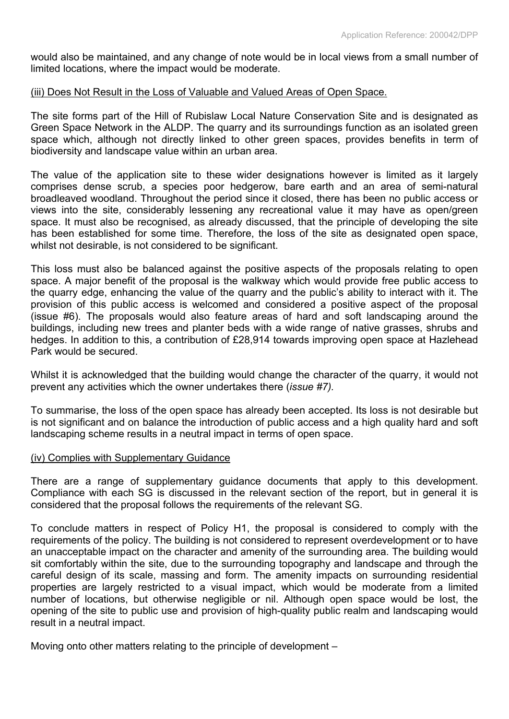would also be maintained, and any change of note would be in local views from a small number of limited locations, where the impact would be moderate.

#### (iii) Does Not Result in the Loss of Valuable and Valued Areas of Open Space.

The site forms part of the Hill of Rubislaw Local Nature Conservation Site and is designated as Green Space Network in the ALDP. The quarry and its surroundings function as an isolated green space which, although not directly linked to other green spaces, provides benefits in term of biodiversity and landscape value within an urban area.

The value of the application site to these wider designations however is limited as it largely comprises dense scrub, a species poor hedgerow, bare earth and an area of semi-natural broadleaved woodland. Throughout the period since it closed, there has been no public access or views into the site, considerably lessening any recreational value it may have as open/green space. It must also be recognised, as already discussed, that the principle of developing the site has been established for some time. Therefore, the loss of the site as designated open space, whilst not desirable, is not considered to be significant.

This loss must also be balanced against the positive aspects of the proposals relating to open space. A major benefit of the proposal is the walkway which would provide free public access to the quarry edge, enhancing the value of the quarry and the public's ability to interact with it. The provision of this public access is welcomed and considered a positive aspect of the proposal (issue #6). The proposals would also feature areas of hard and soft landscaping around the buildings, including new trees and planter beds with a wide range of native grasses, shrubs and hedges. In addition to this, a contribution of £28,914 towards improving open space at Hazlehead Park would be secured.

Whilst it is acknowledged that the building would change the character of the quarry, it would not prevent any activities which the owner undertakes there (*issue #7).*

To summarise, the loss of the open space has already been accepted. Its loss is not desirable but is not significant and on balance the introduction of public access and a high quality hard and soft landscaping scheme results in a neutral impact in terms of open space.

#### (iv) Complies with Supplementary Guidance

There are a range of supplementary guidance documents that apply to this development. Compliance with each SG is discussed in the relevant section of the report, but in general it is considered that the proposal follows the requirements of the relevant SG.

To conclude matters in respect of Policy H1, the proposal is considered to comply with the requirements of the policy. The building is not considered to represent overdevelopment or to have an unacceptable impact on the character and amenity of the surrounding area. The building would sit comfortably within the site, due to the surrounding topography and landscape and through the careful design of its scale, massing and form. The amenity impacts on surrounding residential properties are largely restricted to a visual impact, which would be moderate from a limited number of locations, but otherwise negligible or nil. Although open space would be lost, the opening of the site to public use and provision of high-quality public realm and landscaping would result in a neutral impact.

Moving onto other matters relating to the principle of development –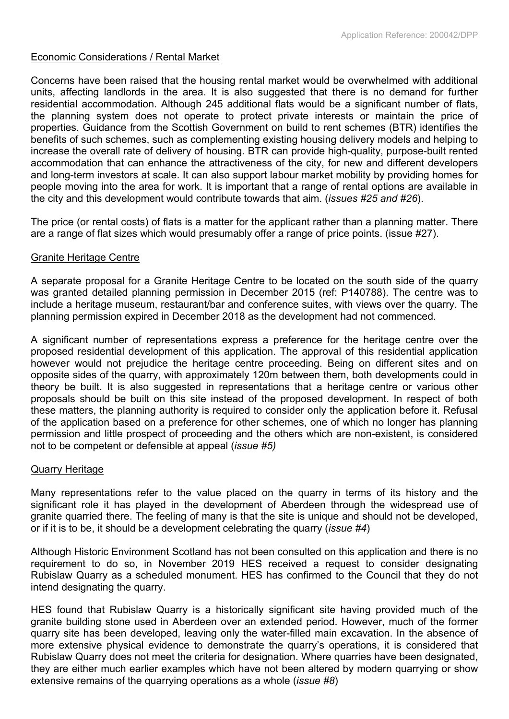## Economic Considerations / Rental Market

Concerns have been raised that the housing rental market would be overwhelmed with additional units, affecting landlords in the area. It is also suggested that there is no demand for further residential accommodation. Although 245 additional flats would be a significant number of flats, the planning system does not operate to protect private interests or maintain the price of properties. Guidance from the Scottish Government on build to rent schemes (BTR) identifies the benefits of such schemes, such as complementing existing housing delivery models and helping to increase the overall rate of delivery of housing. BTR can provide high-quality, purpose-built rented accommodation that can enhance the attractiveness of the city, for new and different developers and long-term investors at scale. It can also support labour market mobility by providing homes for people moving into the area for work. It is important that a range of rental options are available in the city and this development would contribute towards that aim. (*issues #25 and #26*).

The price (or rental costs) of flats is a matter for the applicant rather than a planning matter. There are a range of flat sizes which would presumably offer a range of price points. (issue #27).

# Granite Heritage Centre

A separate proposal for a Granite Heritage Centre to be located on the south side of the quarry was granted detailed planning permission in December 2015 (ref: P140788). The centre was to include a heritage museum, restaurant/bar and conference suites, with views over the quarry. The planning permission expired in December 2018 as the development had not commenced.

A significant number of representations express a preference for the heritage centre over the proposed residential development of this application. The approval of this residential application however would not prejudice the heritage centre proceeding. Being on different sites and on opposite sides of the quarry, with approximately 120m between them, both developments could in theory be built. It is also suggested in representations that a heritage centre or various other proposals should be built on this site instead of the proposed development. In respect of both these matters, the planning authority is required to consider only the application before it. Refusal of the application based on a preference for other schemes, one of which no longer has planning permission and little prospect of proceeding and the others which are non-existent, is considered not to be competent or defensible at appeal (*issue #5)*

## Quarry Heritage

Many representations refer to the value placed on the quarry in terms of its history and the significant role it has played in the development of Aberdeen through the widespread use of granite quarried there. The feeling of many is that the site is unique and should not be developed, or if it is to be, it should be a development celebrating the quarry (*issue #4*)

Although Historic Environment Scotland has not been consulted on this application and there is no requirement to do so, in November 2019 HES received a request to consider designating Rubislaw Quarry as a scheduled monument. HES has confirmed to the Council that they do not intend designating the quarry.

HES found that Rubislaw Quarry is a historically significant site having provided much of the granite building stone used in Aberdeen over an extended period. However, much of the former quarry site has been developed, leaving only the water-filled main excavation. In the absence of more extensive physical evidence to demonstrate the quarry's operations, it is considered that Rubislaw Quarry does not meet the criteria for designation. Where quarries have been designated, they are either much earlier examples which have not been altered by modern quarrying or show extensive remains of the quarrying operations as a whole (*issue #8*)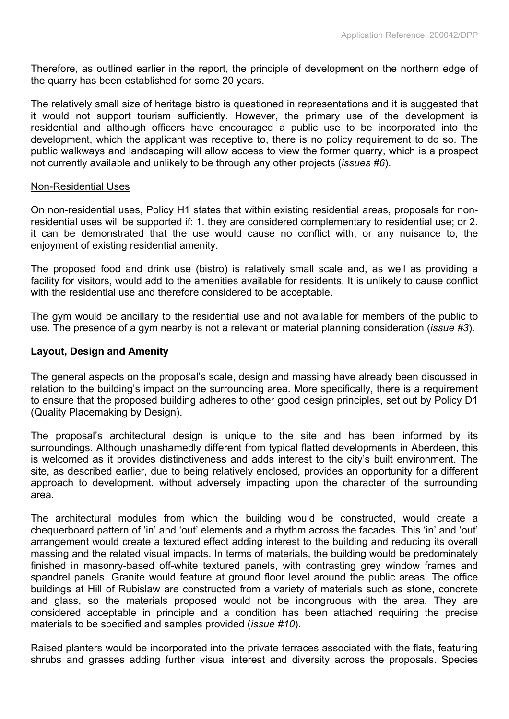Therefore, as outlined earlier in the report, the principle of development on the northern edge of the quarry has been established for some 20 years.

The relatively small size of heritage bistro is questioned in representations and it is suggested that it would not support tourism sufficiently. However, the primary use of the development is residential and although officers have encouraged a public use to be incorporated into the development, which the applicant was receptive to, there is no policy requirement to do so. The public walkways and landscaping will allow access to view the former quarry, which is a prospect not currently available and unlikely to be through any other projects (*issues #6*).

#### Non-Residential Uses

On non-residential uses, Policy H1 states that within existing residential areas, proposals for nonresidential uses will be supported if: 1. they are considered complementary to residential use; or 2. it can be demonstrated that the use would cause no conflict with, or any nuisance to, the enjoyment of existing residential amenity.

The proposed food and drink use (bistro) is relatively small scale and, as well as providing a facility for visitors, would add to the amenities available for residents. It is unlikely to cause conflict with the residential use and therefore considered to be acceptable.

The gym would be ancillary to the residential use and not available for members of the public to use. The presence of a gym nearby is not a relevant or material planning consideration (*issue #3*).

#### **Layout, Design and Amenity**

The general aspects on the proposal's scale, design and massing have already been discussed in relation to the building's impact on the surrounding area. More specifically, there is a requirement to ensure that the proposed building adheres to other good design principles, set out by Policy D1 (Quality Placemaking by Design).

The proposal's architectural design is unique to the site and has been informed by its surroundings. Although unashamedly different from typical flatted developments in Aberdeen, this is welcomed as it provides distinctiveness and adds interest to the city's built environment. The site, as described earlier, due to being relatively enclosed, provides an opportunity for a different approach to development, without adversely impacting upon the character of the surrounding area.

The architectural modules from which the building would be constructed, would create a chequerboard pattern of 'in' and 'out' elements and a rhythm across the facades. This 'in' and 'out' arrangement would create a textured effect adding interest to the building and reducing its overall massing and the related visual impacts. In terms of materials, the building would be predominately finished in masonry-based off-white textured panels, with contrasting grey window frames and spandrel panels. Granite would feature at ground floor level around the public areas. The office buildings at Hill of Rubislaw are constructed from a variety of materials such as stone, concrete and glass, so the materials proposed would not be incongruous with the area. They are considered acceptable in principle and a condition has been attached requiring the precise materials to be specified and samples provided (*issue #10*).

Raised planters would be incorporated into the private terraces associated with the flats, featuring shrubs and grasses adding further visual interest and diversity across the proposals. Species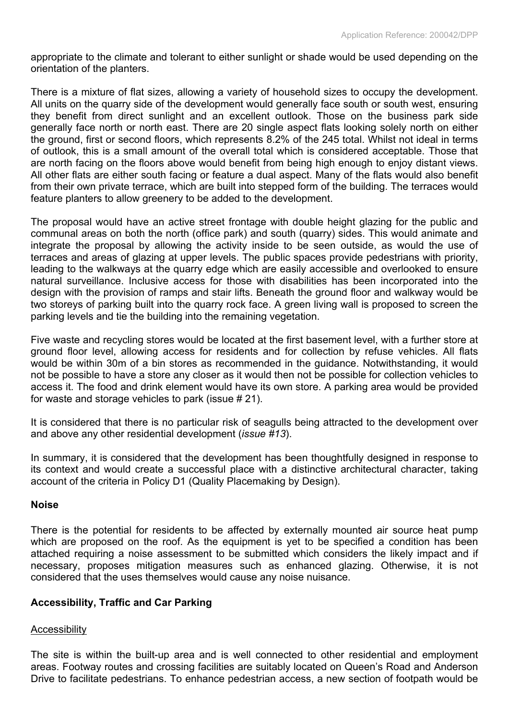appropriate to the climate and tolerant to either sunlight or shade would be used depending on the orientation of the planters.

There is a mixture of flat sizes, allowing a variety of household sizes to occupy the development. All units on the quarry side of the development would generally face south or south west, ensuring they benefit from direct sunlight and an excellent outlook. Those on the business park side generally face north or north east. There are 20 single aspect flats looking solely north on either the ground, first or second floors, which represents 8.2% of the 245 total. Whilst not ideal in terms of outlook, this is a small amount of the overall total which is considered acceptable. Those that are north facing on the floors above would benefit from being high enough to enjoy distant views. All other flats are either south facing or feature a dual aspect. Many of the flats would also benefit from their own private terrace, which are built into stepped form of the building. The terraces would feature planters to allow greenery to be added to the development.

The proposal would have an active street frontage with double height glazing for the public and communal areas on both the north (office park) and south (quarry) sides. This would animate and integrate the proposal by allowing the activity inside to be seen outside, as would the use of terraces and areas of glazing at upper levels. The public spaces provide pedestrians with priority, leading to the walkways at the quarry edge which are easily accessible and overlooked to ensure natural surveillance. Inclusive access for those with disabilities has been incorporated into the design with the provision of ramps and stair lifts. Beneath the ground floor and walkway would be two storeys of parking built into the quarry rock face. A green living wall is proposed to screen the parking levels and tie the building into the remaining vegetation.

Five waste and recycling stores would be located at the first basement level, with a further store at ground floor level, allowing access for residents and for collection by refuse vehicles. All flats would be within 30m of a bin stores as recommended in the guidance. Notwithstanding, it would not be possible to have a store any closer as it would then not be possible for collection vehicles to access it. The food and drink element would have its own store. A parking area would be provided for waste and storage vehicles to park (issue # 21).

It is considered that there is no particular risk of seagulls being attracted to the development over and above any other residential development (*issue #13*).

In summary, it is considered that the development has been thoughtfully designed in response to its context and would create a successful place with a distinctive architectural character, taking account of the criteria in Policy D1 (Quality Placemaking by Design).

## **Noise**

There is the potential for residents to be affected by externally mounted air source heat pump which are proposed on the roof. As the equipment is yet to be specified a condition has been attached requiring a noise assessment to be submitted which considers the likely impact and if necessary, proposes mitigation measures such as enhanced glazing. Otherwise, it is not considered that the uses themselves would cause any noise nuisance.

## **Accessibility, Traffic and Car Parking**

## **Accessibility**

The site is within the built-up area and is well connected to other residential and employment areas. Footway routes and crossing facilities are suitably located on Queen's Road and Anderson Drive to facilitate pedestrians. To enhance pedestrian access, a new section of footpath would be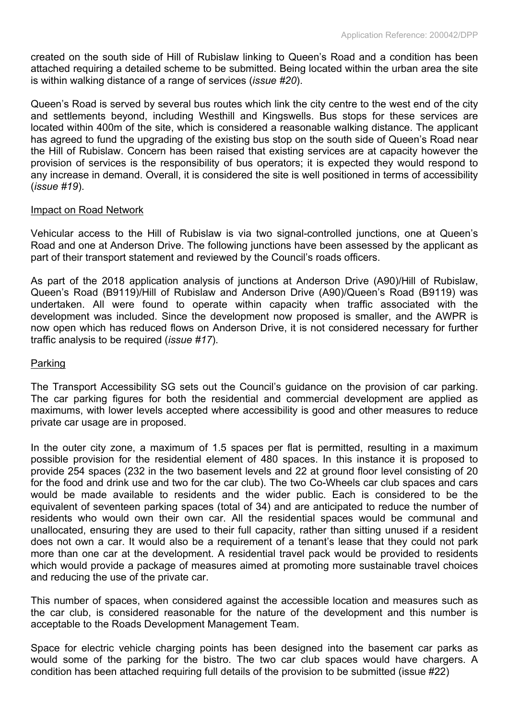created on the south side of Hill of Rubislaw linking to Queen's Road and a condition has been attached requiring a detailed scheme to be submitted. Being located within the urban area the site is within walking distance of a range of services (*issue #20*).

Queen's Road is served by several bus routes which link the city centre to the west end of the city and settlements beyond, including Westhill and Kingswells. Bus stops for these services are located within 400m of the site, which is considered a reasonable walking distance. The applicant has agreed to fund the upgrading of the existing bus stop on the south side of Queen's Road near the Hill of Rubislaw. Concern has been raised that existing services are at capacity however the provision of services is the responsibility of bus operators; it is expected they would respond to any increase in demand. Overall, it is considered the site is well positioned in terms of accessibility (*issue #19*).

#### Impact on Road Network

Vehicular access to the Hill of Rubislaw is via two signal-controlled junctions, one at Queen's Road and one at Anderson Drive. The following junctions have been assessed by the applicant as part of their transport statement and reviewed by the Council's roads officers.

As part of the 2018 application analysis of junctions at Anderson Drive (A90)/Hill of Rubislaw, Queen's Road (B9119)/Hill of Rubislaw and Anderson Drive (A90)/Queen's Road (B9119) was undertaken. All were found to operate within capacity when traffic associated with the development was included. Since the development now proposed is smaller, and the AWPR is now open which has reduced flows on Anderson Drive, it is not considered necessary for further traffic analysis to be required (*issue #17*).

#### Parking

The Transport Accessibility SG sets out the Council's guidance on the provision of car parking. The car parking figures for both the residential and commercial development are applied as maximums, with lower levels accepted where accessibility is good and other measures to reduce private car usage are in proposed.

In the outer city zone, a maximum of 1.5 spaces per flat is permitted, resulting in a maximum possible provision for the residential element of 480 spaces. In this instance it is proposed to provide 254 spaces (232 in the two basement levels and 22 at ground floor level consisting of 20 for the food and drink use and two for the car club). The two Co-Wheels car club spaces and cars would be made available to residents and the wider public. Each is considered to be the equivalent of seventeen parking spaces (total of 34) and are anticipated to reduce the number of residents who would own their own car. All the residential spaces would be communal and unallocated, ensuring they are used to their full capacity, rather than sitting unused if a resident does not own a car. It would also be a requirement of a tenant's lease that they could not park more than one car at the development. A residential travel pack would be provided to residents which would provide a package of measures aimed at promoting more sustainable travel choices and reducing the use of the private car.

This number of spaces, when considered against the accessible location and measures such as the car club, is considered reasonable for the nature of the development and this number is acceptable to the Roads Development Management Team.

Space for electric vehicle charging points has been designed into the basement car parks as would some of the parking for the bistro. The two car club spaces would have chargers. A condition has been attached requiring full details of the provision to be submitted (issue #22)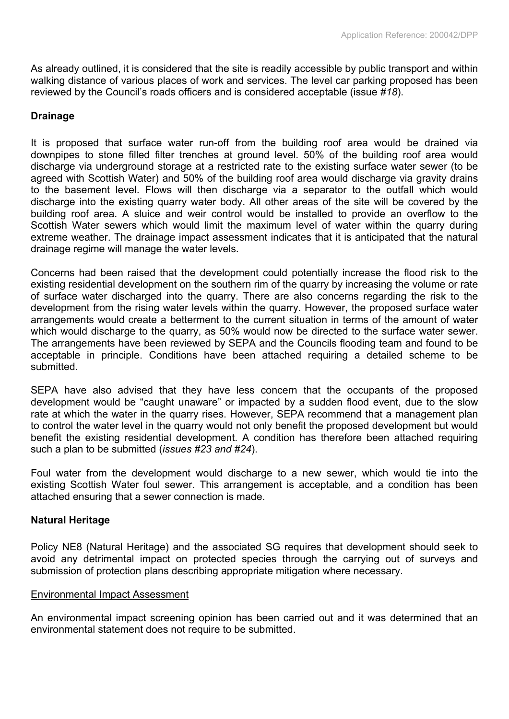As already outlined, it is considered that the site is readily accessible by public transport and within walking distance of various places of work and services. The level car parking proposed has been reviewed by the Council's roads officers and is considered acceptable (issue *#18*).

## **Drainage**

It is proposed that surface water run-off from the building roof area would be drained via downpipes to stone filled filter trenches at ground level. 50% of the building roof area would discharge via underground storage at a restricted rate to the existing surface water sewer (to be agreed with Scottish Water) and 50% of the building roof area would discharge via gravity drains to the basement level. Flows will then discharge via a separator to the outfall which would discharge into the existing quarry water body. All other areas of the site will be covered by the building roof area. A sluice and weir control would be installed to provide an overflow to the Scottish Water sewers which would limit the maximum level of water within the quarry during extreme weather. The drainage impact assessment indicates that it is anticipated that the natural drainage regime will manage the water levels.

Concerns had been raised that the development could potentially increase the flood risk to the existing residential development on the southern rim of the quarry by increasing the volume or rate of surface water discharged into the quarry. There are also concerns regarding the risk to the development from the rising water levels within the quarry. However, the proposed surface water arrangements would create a betterment to the current situation in terms of the amount of water which would discharge to the quarry, as 50% would now be directed to the surface water sewer. The arrangements have been reviewed by SEPA and the Councils flooding team and found to be acceptable in principle. Conditions have been attached requiring a detailed scheme to be submitted.

SEPA have also advised that they have less concern that the occupants of the proposed development would be "caught unaware" or impacted by a sudden flood event, due to the slow rate at which the water in the quarry rises. However, SEPA recommend that a management plan to control the water level in the quarry would not only benefit the proposed development but would benefit the existing residential development. A condition has therefore been attached requiring such a plan to be submitted (*issues #23 and #24*).

Foul water from the development would discharge to a new sewer, which would tie into the existing Scottish Water foul sewer. This arrangement is acceptable, and a condition has been attached ensuring that a sewer connection is made.

## **Natural Heritage**

Policy NE8 (Natural Heritage) and the associated SG requires that development should seek to avoid any detrimental impact on protected species through the carrying out of surveys and submission of protection plans describing appropriate mitigation where necessary.

## Environmental Impact Assessment

An environmental impact screening opinion has been carried out and it was determined that an environmental statement does not require to be submitted.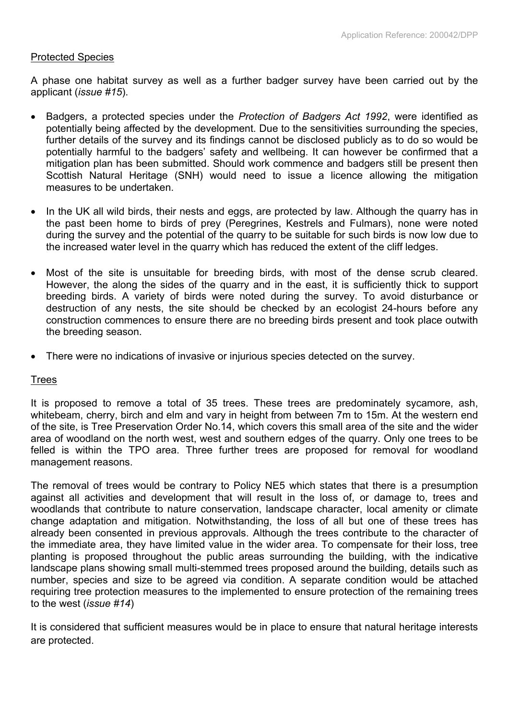#### Protected Species

A phase one habitat survey as well as a further badger survey have been carried out by the applicant (*issue #15*).

- Badgers, a protected species under the *Protection of Badgers Act 1992*, were identified as potentially being affected by the development. Due to the sensitivities surrounding the species, further details of the survey and its findings cannot be disclosed publicly as to do so would be potentially harmful to the badgers' safety and wellbeing. It can however be confirmed that a mitigation plan has been submitted. Should work commence and badgers still be present then Scottish Natural Heritage (SNH) would need to issue a licence allowing the mitigation measures to be undertaken.
- In the UK all wild birds, their nests and eggs, are protected by law. Although the quarry has in the past been home to birds of prey (Peregrines, Kestrels and Fulmars), none were noted during the survey and the potential of the quarry to be suitable for such birds is now low due to the increased water level in the quarry which has reduced the extent of the cliff ledges.
- Most of the site is unsuitable for breeding birds, with most of the dense scrub cleared. However, the along the sides of the quarry and in the east, it is sufficiently thick to support breeding birds. A variety of birds were noted during the survey. To avoid disturbance or destruction of any nests, the site should be checked by an ecologist 24-hours before any construction commences to ensure there are no breeding birds present and took place outwith the breeding season.
- There were no indications of invasive or injurious species detected on the survey.

## **Trees**

It is proposed to remove a total of 35 trees. These trees are predominately sycamore, ash, whitebeam, cherry, birch and elm and vary in height from between 7m to 15m. At the western end of the site, is Tree Preservation Order No.14, which covers this small area of the site and the wider area of woodland on the north west, west and southern edges of the quarry. Only one trees to be felled is within the TPO area. Three further trees are proposed for removal for woodland management reasons.

The removal of trees would be contrary to Policy NE5 which states that there is a presumption against all activities and development that will result in the loss of, or damage to, trees and woodlands that contribute to nature conservation, landscape character, local amenity or climate change adaptation and mitigation. Notwithstanding, the loss of all but one of these trees has already been consented in previous approvals. Although the trees contribute to the character of the immediate area, they have limited value in the wider area. To compensate for their loss, tree planting is proposed throughout the public areas surrounding the building, with the indicative landscape plans showing small multi-stemmed trees proposed around the building, details such as number, species and size to be agreed via condition. A separate condition would be attached requiring tree protection measures to the implemented to ensure protection of the remaining trees to the west (*issue #14*)

It is considered that sufficient measures would be in place to ensure that natural heritage interests are protected.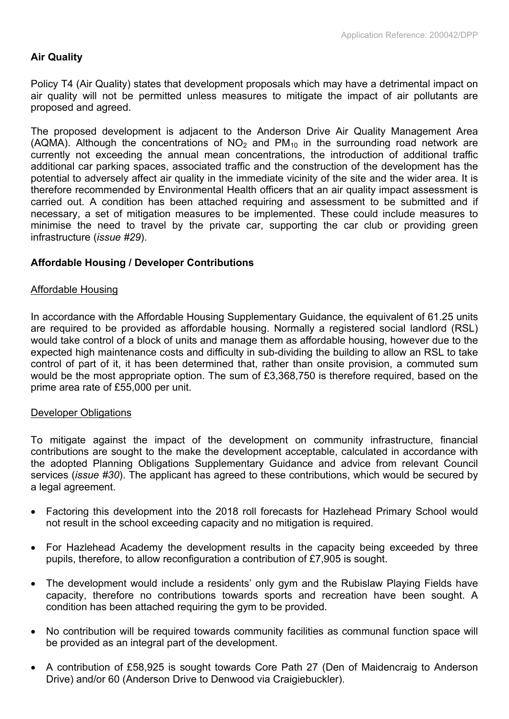# **Air Quality**

Policy T4 (Air Quality) states that development proposals which may have a detrimental impact on air quality will not be permitted unless measures to mitigate the impact of air pollutants are proposed and agreed.

The proposed development is adjacent to the Anderson Drive Air Quality Management Area (AQMA). Although the concentrations of  $NO<sub>2</sub>$  and  $PM<sub>10</sub>$  in the surrounding road network are currently not exceeding the annual mean concentrations, the introduction of additional traffic additional car parking spaces, associated traffic and the construction of the development has the potential to adversely affect air quality in the immediate vicinity of the site and the wider area. It is therefore recommended by Environmental Health officers that an air quality impact assessment is carried out. A condition has been attached requiring and assessment to be submitted and if necessary, a set of mitigation measures to be implemented. These could include measures to minimise the need to travel by the private car, supporting the car club or providing green infrastructure (*issue #29*).

# **Affordable Housing / Developer Contributions**

#### Affordable Housing

In accordance with the Affordable Housing Supplementary Guidance, the equivalent of 61.25 units are required to be provided as affordable housing. Normally a registered social landlord (RSL) would take control of a block of units and manage them as affordable housing, however due to the expected high maintenance costs and difficulty in sub-dividing the building to allow an RSL to take control of part of it, it has been determined that, rather than onsite provision, a commuted sum would be the most appropriate option. The sum of £3,368,750 is therefore required, based on the prime area rate of £55,000 per unit.

## Developer Obligations

To mitigate against the impact of the development on community infrastructure, financial contributions are sought to the make the development acceptable, calculated in accordance with the adopted Planning Obligations Supplementary Guidance and advice from relevant Council services (*issue #30*). The applicant has agreed to these contributions, which would be secured by a legal agreement.

- Factoring this development into the 2018 roll forecasts for Hazlehead Primary School would not result in the school exceeding capacity and no mitigation is required.
- For Hazlehead Academy the development results in the capacity being exceeded by three pupils, therefore, to allow reconfiguration a contribution of £7,905 is sought.
- The development would include a residents' only gym and the Rubislaw Playing Fields have capacity, therefore no contributions towards sports and recreation have been sought. A condition has been attached requiring the gym to be provided.
- No contribution will be required towards community facilities as communal function space will be provided as an integral part of the development.
- A contribution of £58,925 is sought towards Core Path 27 (Den of Maidencraig to Anderson Drive) and/or 60 (Anderson Drive to Denwood via Craigiebuckler).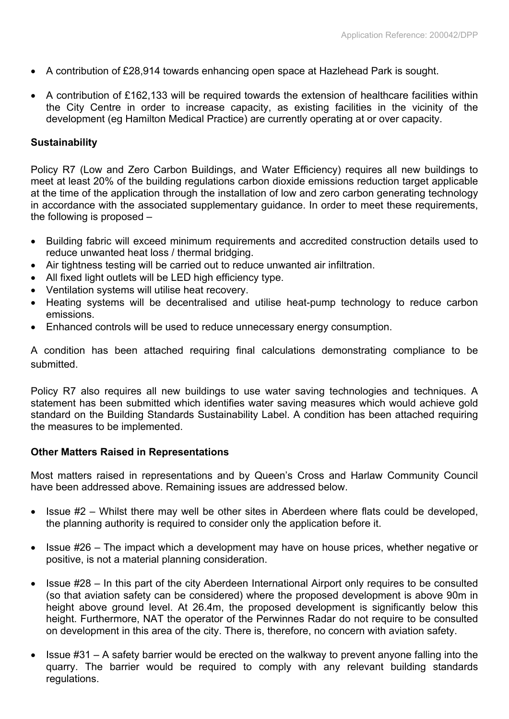- A contribution of £28,914 towards enhancing open space at Hazlehead Park is sought.
- $\bullet$  A contribution of £162,133 will be required towards the extension of healthcare facilities within the City Centre in order to increase capacity, as existing facilities in the vicinity of the development (eg Hamilton Medical Practice) are currently operating at or over capacity.

# **Sustainability**

Policy R7 (Low and Zero Carbon Buildings, and Water Efficiency) requires all new buildings to meet at least 20% of the building regulations carbon dioxide emissions reduction target applicable at the time of the application through the installation of low and zero carbon generating technology in accordance with the associated supplementary guidance. In order to meet these requirements, the following is proposed –

- Building fabric will exceed minimum requirements and accredited construction details used to reduce unwanted heat loss / thermal bridging.
- Air tightness testing will be carried out to reduce unwanted air infiltration.
- All fixed light outlets will be LED high efficiency type.
- Ventilation systems will utilise heat recovery.
- Heating systems will be decentralised and utilise heat-pump technology to reduce carbon emissions.
- Enhanced controls will be used to reduce unnecessary energy consumption.

A condition has been attached requiring final calculations demonstrating compliance to be submitted.

Policy R7 also requires all new buildings to use water saving technologies and techniques. A statement has been submitted which identifies water saving measures which would achieve gold standard on the Building Standards Sustainability Label. A condition has been attached requiring the measures to be implemented.

## **Other Matters Raised in Representations**

Most matters raised in representations and by Queen's Cross and Harlaw Community Council have been addressed above. Remaining issues are addressed below.

- $\bullet$  Issue #2 Whilst there may well be other sites in Aberdeen where flats could be developed, the planning authority is required to consider only the application before it.
- Issue #26 The impact which a development may have on house prices, whether negative or positive, is not a material planning consideration.
- Issue #28 In this part of the city Aberdeen International Airport only requires to be consulted (so that aviation safety can be considered) where the proposed development is above 90m in height above ground level. At 26.4m, the proposed development is significantly below this height. Furthermore, NAT the operator of the Perwinnes Radar do not require to be consulted on development in this area of the city. There is, therefore, no concern with aviation safety.
- Issue #31 A safety barrier would be erected on the walkway to prevent anyone falling into the quarry. The barrier would be required to comply with any relevant building standards regulations.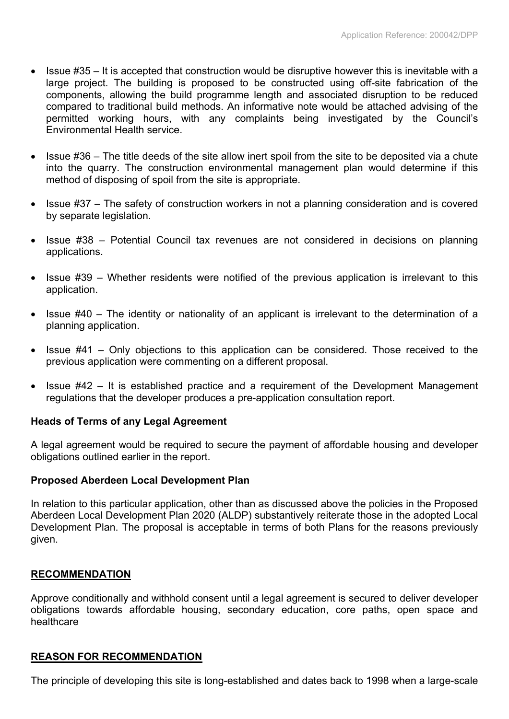- $\bullet$  Issue #35 It is accepted that construction would be disruptive however this is inevitable with a large project. The building is proposed to be constructed using off-site fabrication of the components, allowing the build programme length and associated disruption to be reduced compared to traditional build methods. An informative note would be attached advising of the permitted working hours, with any complaints being investigated by the Council's Environmental Health service.
- Issue #36 The title deeds of the site allow inert spoil from the site to be deposited via a chute into the quarry. The construction environmental management plan would determine if this method of disposing of spoil from the site is appropriate.
- Issue #37 The safety of construction workers in not a planning consideration and is covered by separate legislation.
- Issue #38 Potential Council tax revenues are not considered in decisions on planning applications.
- $\bullet$  Issue #39 Whether residents were notified of the previous application is irrelevant to this application.
- Issue #40 The identity or nationality of an applicant is irrelevant to the determination of a planning application.
- $\bullet$  Issue #41 Only objections to this application can be considered. Those received to the previous application were commenting on a different proposal.
- Issue #42 It is established practice and a requirement of the Development Management regulations that the developer produces a pre-application consultation report.

## **Heads of Terms of any Legal Agreement**

A legal agreement would be required to secure the payment of affordable housing and developer obligations outlined earlier in the report.

## **Proposed Aberdeen Local Development Plan**

In relation to this particular application, other than as discussed above the policies in the Proposed Aberdeen Local Development Plan 2020 (ALDP) substantively reiterate those in the adopted Local Development Plan. The proposal is acceptable in terms of both Plans for the reasons previously given.

## **RECOMMENDATION**

Approve conditionally and withhold consent until a legal agreement is secured to deliver developer obligations towards affordable housing, secondary education, core paths, open space and healthcare

## **REASON FOR RECOMMENDATION**

The principle of developing this site is long-established and dates back to 1998 when a large-scale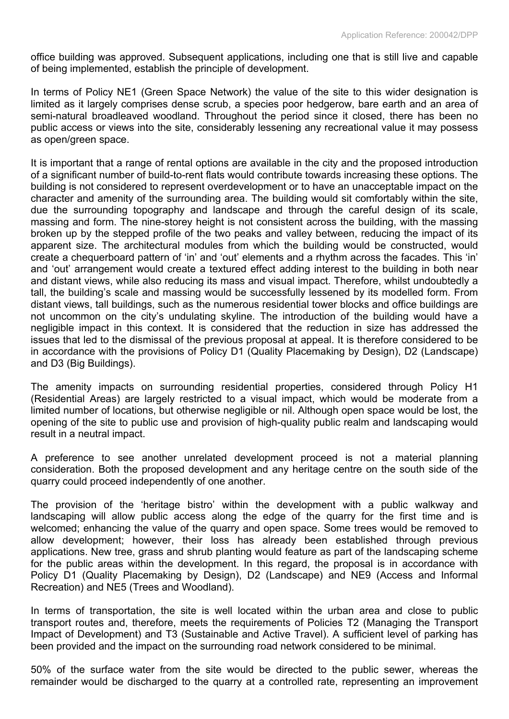office building was approved. Subsequent applications, including one that is still live and capable of being implemented, establish the principle of development.

In terms of Policy NE1 (Green Space Network) the value of the site to this wider designation is limited as it largely comprises dense scrub, a species poor hedgerow, bare earth and an area of semi-natural broadleaved woodland. Throughout the period since it closed, there has been no public access or views into the site, considerably lessening any recreational value it may possess as open/green space.

It is important that a range of rental options are available in the city and the proposed introduction of a significant number of build-to-rent flats would contribute towards increasing these options. The building is not considered to represent overdevelopment or to have an unacceptable impact on the character and amenity of the surrounding area. The building would sit comfortably within the site, due the surrounding topography and landscape and through the careful design of its scale, massing and form. The nine-storey height is not consistent across the building, with the massing broken up by the stepped profile of the two peaks and valley between, reducing the impact of its apparent size. The architectural modules from which the building would be constructed, would create a chequerboard pattern of 'in' and 'out' elements and a rhythm across the facades. This 'in' and 'out' arrangement would create a textured effect adding interest to the building in both near and distant views, while also reducing its mass and visual impact. Therefore, whilst undoubtedly a tall, the building's scale and massing would be successfully lessened by its modelled form. From distant views, tall buildings, such as the numerous residential tower blocks and office buildings are not uncommon on the city's undulating skyline. The introduction of the building would have a negligible impact in this context. It is considered that the reduction in size has addressed the issues that led to the dismissal of the previous proposal at appeal. It is therefore considered to be in accordance with the provisions of Policy D1 (Quality Placemaking by Design), D2 (Landscape) and D3 (Big Buildings).

The amenity impacts on surrounding residential properties, considered through Policy H1 (Residential Areas) are largely restricted to a visual impact, which would be moderate from a limited number of locations, but otherwise negligible or nil. Although open space would be lost, the opening of the site to public use and provision of high-quality public realm and landscaping would result in a neutral impact.

A preference to see another unrelated development proceed is not a material planning consideration. Both the proposed development and any heritage centre on the south side of the quarry could proceed independently of one another.

The provision of the 'heritage bistro' within the development with a public walkway and landscaping will allow public access along the edge of the quarry for the first time and is welcomed; enhancing the value of the quarry and open space. Some trees would be removed to allow development; however, their loss has already been established through previous applications. New tree, grass and shrub planting would feature as part of the landscaping scheme for the public areas within the development. In this regard, the proposal is in accordance with Policy D1 (Quality Placemaking by Design), D2 (Landscape) and NE9 (Access and Informal Recreation) and NE5 (Trees and Woodland).

In terms of transportation, the site is well located within the urban area and close to public transport routes and, therefore, meets the requirements of Policies T2 (Managing the Transport Impact of Development) and T3 (Sustainable and Active Travel). A sufficient level of parking has been provided and the impact on the surrounding road network considered to be minimal.

50% of the surface water from the site would be directed to the public sewer, whereas the remainder would be discharged to the quarry at a controlled rate, representing an improvement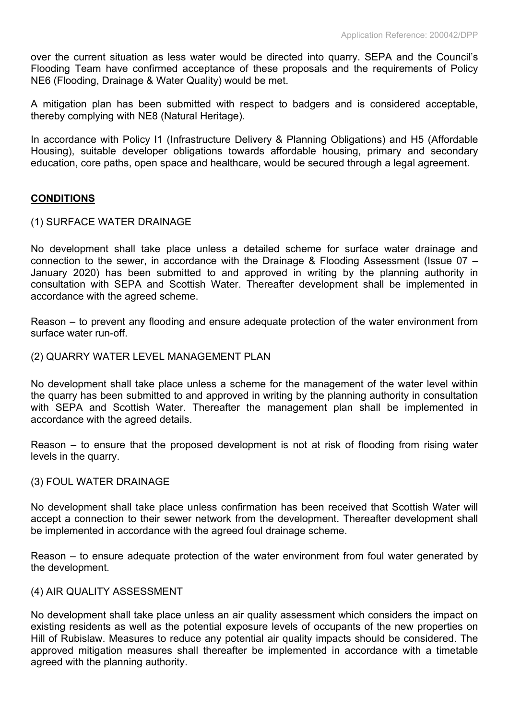over the current situation as less water would be directed into quarry. SEPA and the Council's Flooding Team have confirmed acceptance of these proposals and the requirements of Policy NE6 (Flooding, Drainage & Water Quality) would be met.

A mitigation plan has been submitted with respect to badgers and is considered acceptable, thereby complying with NE8 (Natural Heritage).

In accordance with Policy I1 (Infrastructure Delivery & Planning Obligations) and H5 (Affordable Housing), suitable developer obligations towards affordable housing, primary and secondary education, core paths, open space and healthcare, would be secured through a legal agreement.

# **CONDITIONS**

#### (1) SURFACE WATER DRAINAGE

No development shall take place unless a detailed scheme for surface water drainage and connection to the sewer, in accordance with the Drainage & Flooding Assessment (Issue 07 – January 2020) has been submitted to and approved in writing by the planning authority in consultation with SEPA and Scottish Water. Thereafter development shall be implemented in accordance with the agreed scheme.

Reason – to prevent any flooding and ensure adequate protection of the water environment from surface water run-off.

#### (2) QUARRY WATER LEVEL MANAGEMENT PLAN

No development shall take place unless a scheme for the management of the water level within the quarry has been submitted to and approved in writing by the planning authority in consultation with SEPA and Scottish Water. Thereafter the management plan shall be implemented in accordance with the agreed details.

Reason – to ensure that the proposed development is not at risk of flooding from rising water levels in the quarry.

#### (3) FOUL WATER DRAINAGE

No development shall take place unless confirmation has been received that Scottish Water will accept a connection to their sewer network from the development. Thereafter development shall be implemented in accordance with the agreed foul drainage scheme.

Reason – to ensure adequate protection of the water environment from foul water generated by the development.

#### (4) AIR QUALITY ASSESSMENT

No development shall take place unless an air quality assessment which considers the impact on existing residents as well as the potential exposure levels of occupants of the new properties on Hill of Rubislaw. Measures to reduce any potential air quality impacts should be considered. The approved mitigation measures shall thereafter be implemented in accordance with a timetable agreed with the planning authority.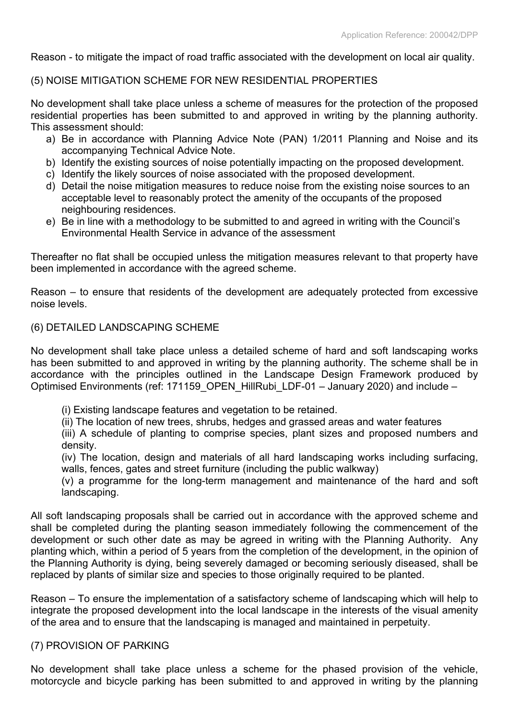Reason - to mitigate the impact of road traffic associated with the development on local air quality.

# (5) NOISE MITIGATION SCHEME FOR NEW RESIDENTIAL PROPERTIES

No development shall take place unless a scheme of measures for the protection of the proposed residential properties has been submitted to and approved in writing by the planning authority. This assessment should:

- a) Be in accordance with Planning Advice Note (PAN) 1/2011 Planning and Noise and its accompanying Technical Advice Note.
- b) Identify the existing sources of noise potentially impacting on the proposed development.
- c) Identify the likely sources of noise associated with the proposed development.
- d) Detail the noise mitigation measures to reduce noise from the existing noise sources to an acceptable level to reasonably protect the amenity of the occupants of the proposed neighbouring residences.
- e) Be in line with a methodology to be submitted to and agreed in writing with the Council's Environmental Health Service in advance of the assessment

Thereafter no flat shall be occupied unless the mitigation measures relevant to that property have been implemented in accordance with the agreed scheme.

Reason – to ensure that residents of the development are adequately protected from excessive noise levels.

## (6) DETAILED LANDSCAPING SCHEME

No development shall take place unless a detailed scheme of hard and soft landscaping works has been submitted to and approved in writing by the planning authority. The scheme shall be in accordance with the principles outlined in the Landscape Design Framework produced by Optimised Environments (ref: 171159 OPEN HillRubi LDF-01 – January 2020) and include –

- (i) Existing landscape features and vegetation to be retained.
- (ii) The location of new trees, shrubs, hedges and grassed areas and water features

(iii) A schedule of planting to comprise species, plant sizes and proposed numbers and density.

(iv) The location, design and materials of all hard landscaping works including surfacing, walls, fences, gates and street furniture (including the public walkway)

(v) a programme for the long-term management and maintenance of the hard and soft landscaping.

All soft landscaping proposals shall be carried out in accordance with the approved scheme and shall be completed during the planting season immediately following the commencement of the development or such other date as may be agreed in writing with the Planning Authority. Any planting which, within a period of 5 years from the completion of the development, in the opinion of the Planning Authority is dying, being severely damaged or becoming seriously diseased, shall be replaced by plants of similar size and species to those originally required to be planted.

Reason – To ensure the implementation of a satisfactory scheme of landscaping which will help to integrate the proposed development into the local landscape in the interests of the visual amenity of the area and to ensure that the landscaping is managed and maintained in perpetuity.

## (7) PROVISION OF PARKING

No development shall take place unless a scheme for the phased provision of the vehicle, motorcycle and bicycle parking has been submitted to and approved in writing by the planning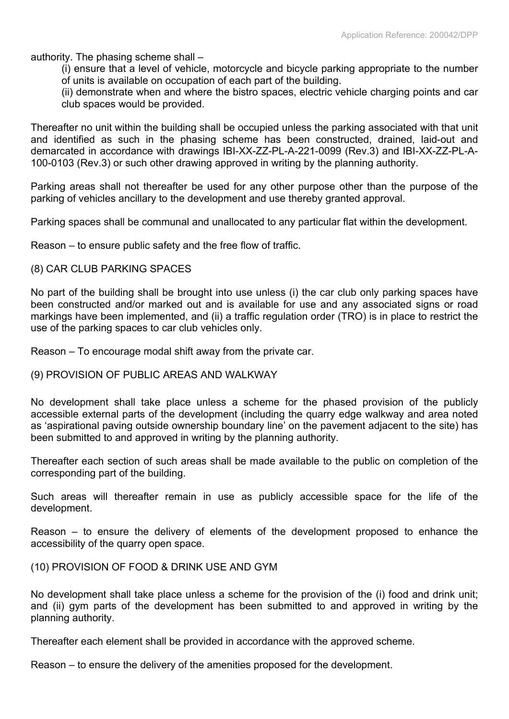authority. The phasing scheme shall –

(i) ensure that a level of vehicle, motorcycle and bicycle parking appropriate to the number of units is available on occupation of each part of the building.

(ii) demonstrate when and where the bistro spaces, electric vehicle charging points and car club spaces would be provided.

Thereafter no unit within the building shall be occupied unless the parking associated with that unit and identified as such in the phasing scheme has been constructed, drained, laid-out and demarcated in accordance with drawings IBI-XX-ZZ-PL-A-221-0099 (Rev.3) and IBI-XX-ZZ-PL-A-100-0103 (Rev.3) or such other drawing approved in writing by the planning authority.

Parking areas shall not thereafter be used for any other purpose other than the purpose of the parking of vehicles ancillary to the development and use thereby granted approval.

Parking spaces shall be communal and unallocated to any particular flat within the development.

Reason – to ensure public safety and the free flow of traffic.

#### (8) CAR CLUB PARKING SPACES

No part of the building shall be brought into use unless (i) the car club only parking spaces have been constructed and/or marked out and is available for use and any associated signs or road markings have been implemented, and (ii) a traffic regulation order (TRO) is in place to restrict the use of the parking spaces to car club vehicles only.

Reason – To encourage modal shift away from the private car.

#### (9) PROVISION OF PUBLIC AREAS AND WALKWAY

No development shall take place unless a scheme for the phased provision of the publicly accessible external parts of the development (including the quarry edge walkway and area noted as 'aspirational paving outside ownership boundary line' on the pavement adjacent to the site) has been submitted to and approved in writing by the planning authority.

Thereafter each section of such areas shall be made available to the public on completion of the corresponding part of the building.

Such areas will thereafter remain in use as publicly accessible space for the life of the development.

Reason – to ensure the delivery of elements of the development proposed to enhance the accessibility of the quarry open space.

(10) PROVISION OF FOOD & DRINK USE AND GYM

No development shall take place unless a scheme for the provision of the (i) food and drink unit; and (ii) gym parts of the development has been submitted to and approved in writing by the planning authority.

Thereafter each element shall be provided in accordance with the approved scheme.

Reason – to ensure the delivery of the amenities proposed for the development.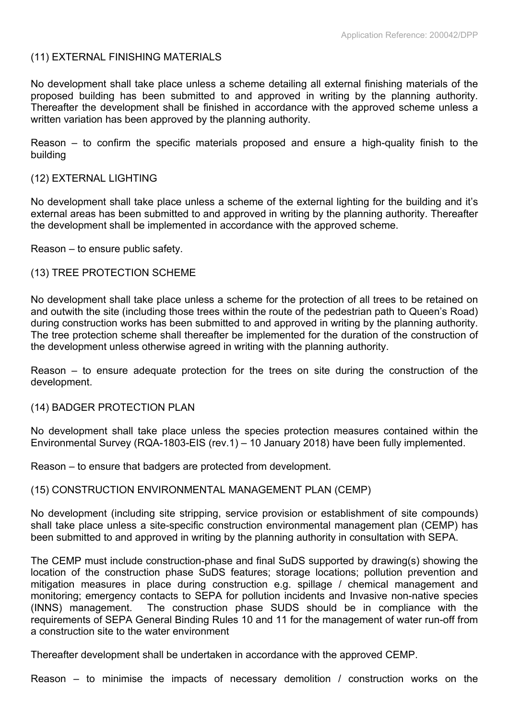## (11) EXTERNAL FINISHING MATERIALS

No development shall take place unless a scheme detailing all external finishing materials of the proposed building has been submitted to and approved in writing by the planning authority. Thereafter the development shall be finished in accordance with the approved scheme unless a written variation has been approved by the planning authority.

Reason – to confirm the specific materials proposed and ensure a high-quality finish to the building

#### (12) EXTERNAL LIGHTING

No development shall take place unless a scheme of the external lighting for the building and it's external areas has been submitted to and approved in writing by the planning authority. Thereafter the development shall be implemented in accordance with the approved scheme.

Reason – to ensure public safety.

## (13) TREE PROTECTION SCHEME

No development shall take place unless a scheme for the protection of all trees to be retained on and outwith the site (including those trees within the route of the pedestrian path to Queen's Road) during construction works has been submitted to and approved in writing by the planning authority. The tree protection scheme shall thereafter be implemented for the duration of the construction of the development unless otherwise agreed in writing with the planning authority.

Reason – to ensure adequate protection for the trees on site during the construction of the development.

#### (14) BADGER PROTECTION PLAN

No development shall take place unless the species protection measures contained within the Environmental Survey (RQA-1803-EIS (rev.1) – 10 January 2018) have been fully implemented.

Reason – to ensure that badgers are protected from development.

## (15) CONSTRUCTION ENVIRONMENTAL MANAGEMENT PLAN (CEMP)

No development (including site stripping, service provision or establishment of site compounds) shall take place unless a site-specific construction environmental management plan (CEMP) has been submitted to and approved in writing by the planning authority in consultation with SEPA.

The CEMP must include construction-phase and final SuDS supported by drawing(s) showing the location of the construction phase SuDS features; storage locations; pollution prevention and mitigation measures in place during construction e.g. spillage / chemical management and monitoring; emergency contacts to SEPA for pollution incidents and Invasive non-native species (INNS) management. The construction phase SUDS should be in compliance with the requirements of SEPA General Binding Rules 10 and 11 for the management of water run-off from a construction site to the water environment

Thereafter development shall be undertaken in accordance with the approved CEMP.

Reason – to minimise the impacts of necessary demolition / construction works on the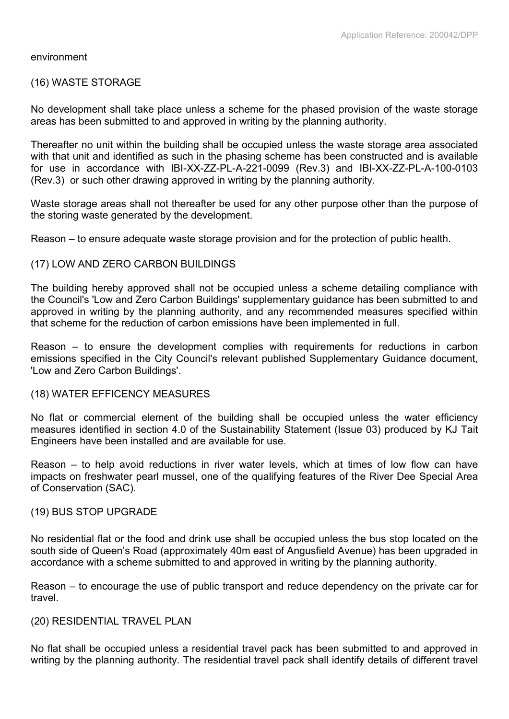#### environment

#### (16) WASTE STORAGE

No development shall take place unless a scheme for the phased provision of the waste storage areas has been submitted to and approved in writing by the planning authority.

Thereafter no unit within the building shall be occupied unless the waste storage area associated with that unit and identified as such in the phasing scheme has been constructed and is available for use in accordance with IBI-XX-ZZ-PL-A-221-0099 (Rev.3) and IBI-XX-ZZ-PL-A-100-0103 (Rev.3) or such other drawing approved in writing by the planning authority.

Waste storage areas shall not thereafter be used for any other purpose other than the purpose of the storing waste generated by the development.

Reason – to ensure adequate waste storage provision and for the protection of public health.

#### (17) LOW AND ZERO CARBON BUILDINGS

The building hereby approved shall not be occupied unless a scheme detailing compliance with the Council's 'Low and Zero Carbon Buildings' supplementary guidance has been submitted to and approved in writing by the planning authority, and any recommended measures specified within that scheme for the reduction of carbon emissions have been implemented in full.

Reason – to ensure the development complies with requirements for reductions in carbon emissions specified in the City Council's relevant published Supplementary Guidance document, 'Low and Zero Carbon Buildings'.

#### (18) WATER EFFICENCY MEASURES

No flat or commercial element of the building shall be occupied unless the water efficiency measures identified in section 4.0 of the Sustainability Statement (Issue 03) produced by KJ Tait Engineers have been installed and are available for use.

Reason – to help avoid reductions in river water levels, which at times of low flow can have impacts on freshwater pearl mussel, one of the qualifying features of the River Dee Special Area of Conservation (SAC).

#### (19) BUS STOP UPGRADE

No residential flat or the food and drink use shall be occupied unless the bus stop located on the south side of Queen's Road (approximately 40m east of Angusfield Avenue) has been upgraded in accordance with a scheme submitted to and approved in writing by the planning authority.

Reason – to encourage the use of public transport and reduce dependency on the private car for travel.

#### (20) RESIDENTIAL TRAVEL PLAN

No flat shall be occupied unless a residential travel pack has been submitted to and approved in writing by the planning authority. The residential travel pack shall identify details of different travel